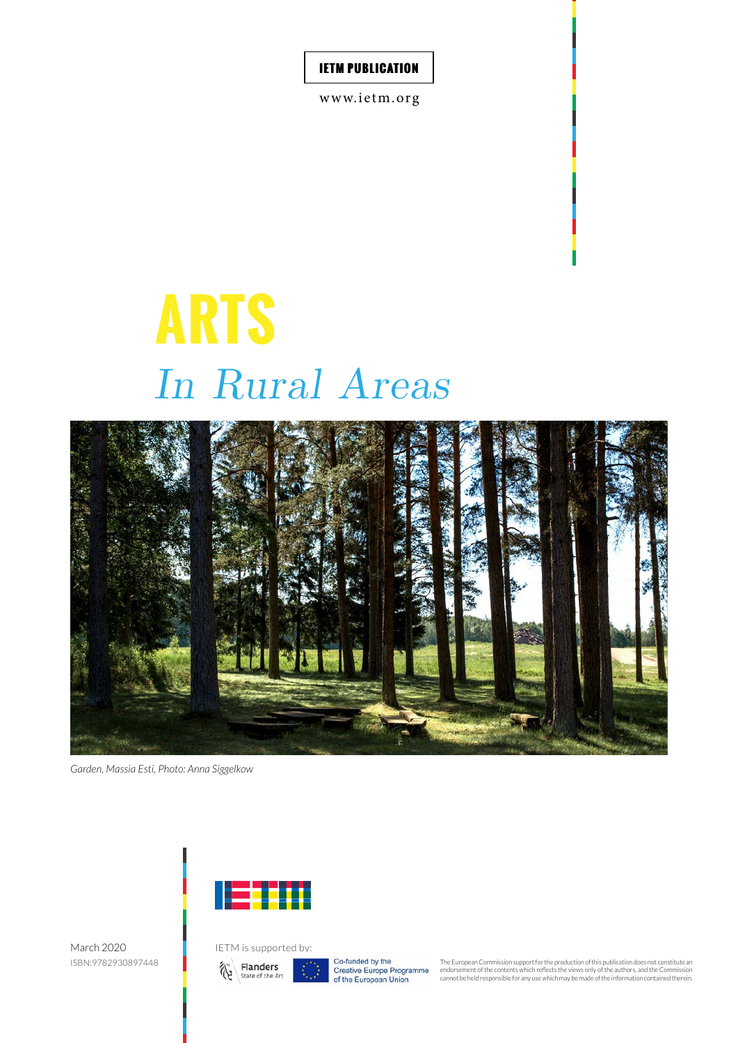www.ietm.org

# *In Rural Areas* **ARTS**



*Garden, Massia Esti, Photo: Anna Siggelkow*



March 2020 ISBN:9782930897448



Co-funded by the Co-initiated by the<br>Creative Europe Programme<br>of the European Union

The European Commission support for the production of this publication does not constitute an endorsement of the contents which reflects the views only of the authors, and the Commission cannot be held responsible for any use which may be made of the information contained therein.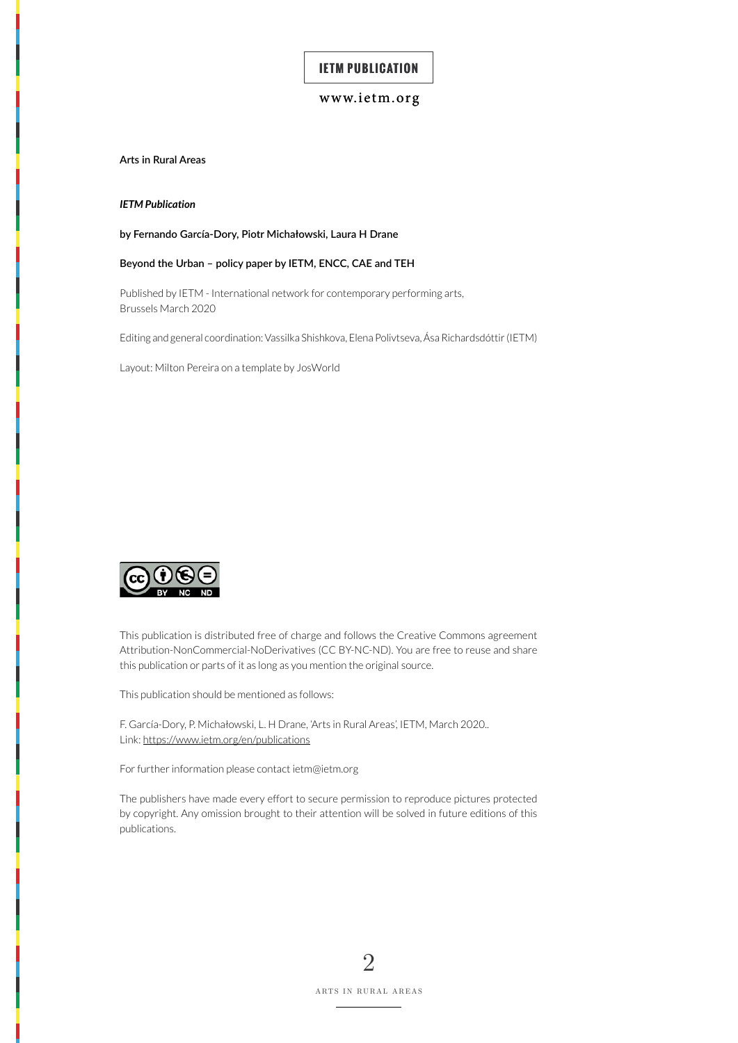### <www.ietm.org>

**Arts in Rural Areas**

*IETM Publication*

**by Fernando García-Dory, Piotr Michałowski, Laura H Drane**

#### **Beyond the Urban – policy paper by IETM, ENCC, CAE and TEH**

Published by IETM - International network for contemporary performing arts, Brussels March 2020

Editing and general coordination: Vassilka Shishkova, Elena Polivtseva, Ása Richardsdóttir (IETM)

Layout: Milton Pereira on a template by JosWorld



This publication is distributed free of charge and follows the Creative Commons agreement Attribution-NonCommercial-NoDerivatives (CC BY-NC-ND). You are free to reuse and share this publication or parts of it as long as you mention the original source.

This publication should be mentioned as follows:

F. García-Dory, P. Michałowski, L. H Drane, 'Arts in Rural Areas', IETM, March 2020.. Link:<https://www.ietm.org/en/publications>

For further information please contact ietm@ietm.org

The publishers have made every effort to secure permission to reproduce pictures protected by copyright. Any omission brought to their attention will be solved in future editions of this publications.

> 2 ARTS IN RURAL AREAS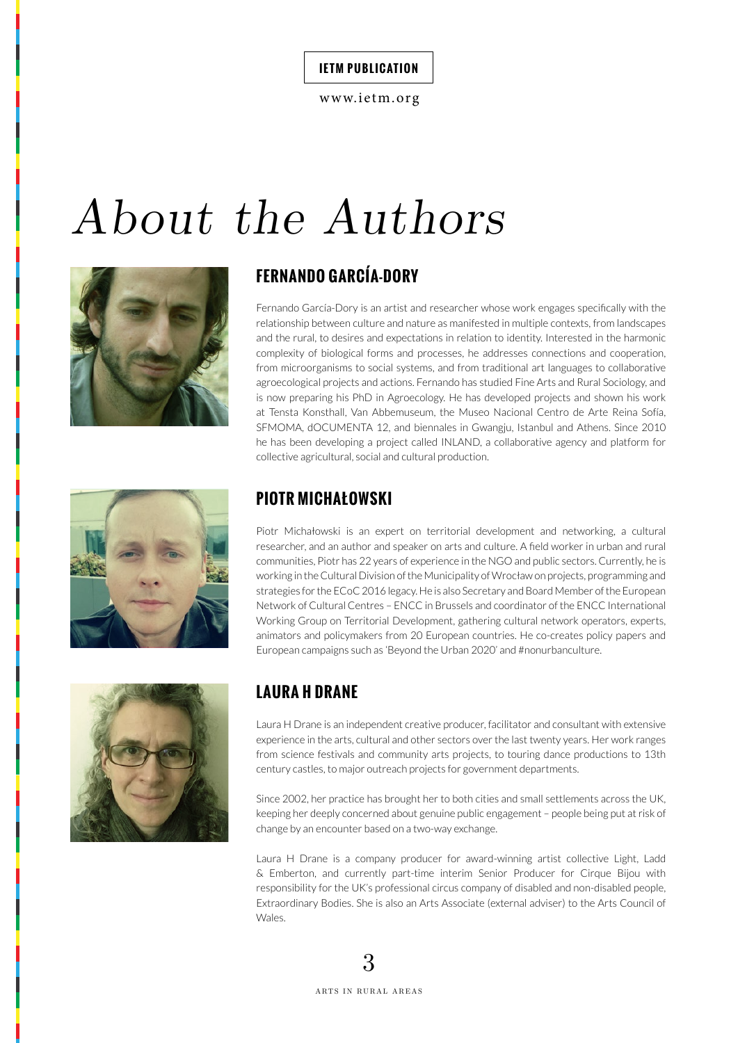<www.ietm.org>

# *About the Authors*





Fernando García-Dory is an artist and researcher whose work engages specifically with the relationship between culture and nature as manifested in multiple contexts, from landscapes and the rural, to desires and expectations in relation to identity. Interested in the harmonic complexity of biological forms and processes, he addresses connections and cooperation, from microorganisms to social systems, and from traditional art languages to collaborative agroecological projects and actions. Fernando has studied Fine Arts and Rural Sociology, and is now preparing his PhD in Agroecology. He has developed projects and shown his work at Tensta Konsthall, Van Abbemuseum, the Museo Nacional Centro de Arte Reina Sofía, SFMOMA, dOCUMENTA 12, and biennales in Gwangju, Istanbul and Athens. Since 2010 he has been developing a project called INLAND, a collaborative agency and platform for collective agricultural, social and cultural production.



# **PIOTR MICHAŁOWSKI**

Piotr Michałowski is an expert on territorial development and networking, a cultural researcher, and an author and speaker on arts and culture. A field worker in urban and rural communities, Piotr has 22 years of experience in the NGO and public sectors. Currently, he is working in the Cultural Division of the Municipality of Wrocław on projects, programming and strategies for the ECoC 2016 legacy. He is also Secretary and Board Member of the European Network of Cultural Centres – ENCC in Brussels and coordinator of the ENCC International Working Group on Territorial Development, gathering cultural network operators, experts, animators and policymakers from 20 European countries. He co-creates policy papers and European campaigns such as 'Beyond the Urban 2020' and #nonurbanculture.



# **LAURA H DRANE**

Laura H Drane is an independent creative producer, facilitator and consultant with extensive experience in the arts, cultural and other sectors over the last twenty years. Her work ranges from science festivals and community arts projects, to touring dance productions to 13th century castles, to major outreach projects for government departments.

Since 2002, her practice has brought her to both cities and small settlements across the UK, keeping her deeply concerned about genuine public engagement – people being put at risk of change by an encounter based on a two-way exchange.

Laura H Drane is a company producer for award-winning artist collective Light, Ladd & Emberton, and currently part-time interim Senior Producer for Cirque Bijou with responsibility for the UK's professional circus company of disabled and non-disabled people, Extraordinary Bodies. She is also an Arts Associate (external adviser) to the Arts Council of Wales.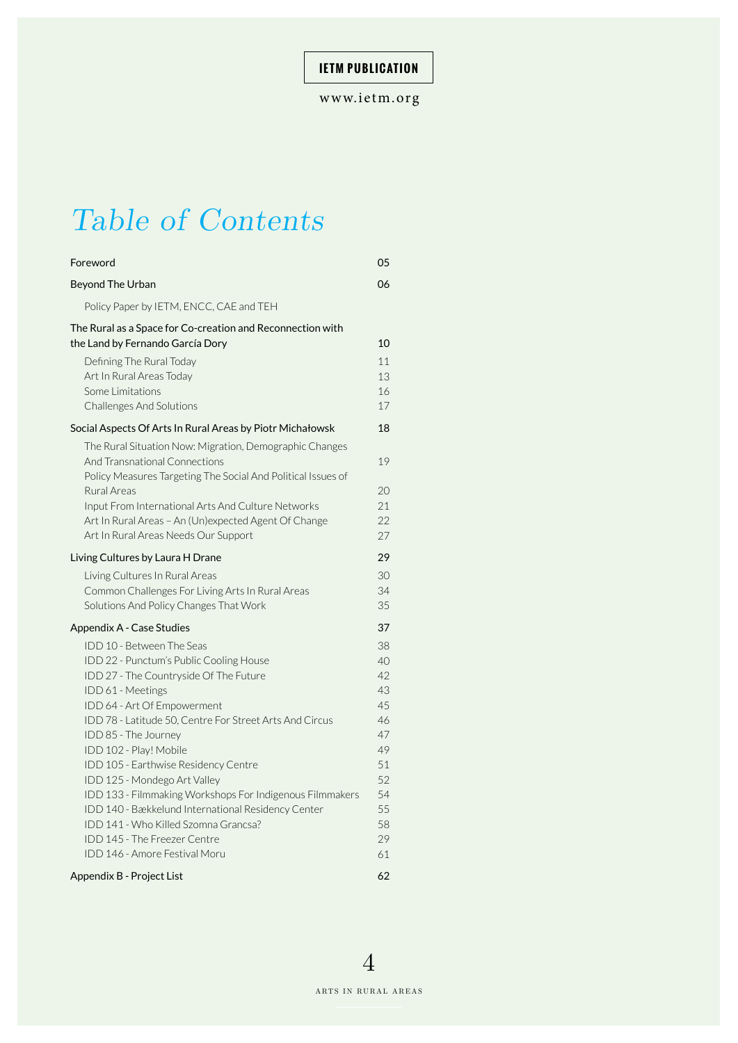# *Table of Contents*

| Foreword                                                                                                                                                                                                                                                                                                                                                                                                                                                                                                                                                                                  | 05                                                                                     |
|-------------------------------------------------------------------------------------------------------------------------------------------------------------------------------------------------------------------------------------------------------------------------------------------------------------------------------------------------------------------------------------------------------------------------------------------------------------------------------------------------------------------------------------------------------------------------------------------|----------------------------------------------------------------------------------------|
| Beyond The Urban                                                                                                                                                                                                                                                                                                                                                                                                                                                                                                                                                                          | 06                                                                                     |
| Policy Paper by IETM, ENCC, CAE and TEH                                                                                                                                                                                                                                                                                                                                                                                                                                                                                                                                                   |                                                                                        |
| The Rural as a Space for Co-creation and Reconnection with<br>the Land by Fernando García Dory                                                                                                                                                                                                                                                                                                                                                                                                                                                                                            | 10                                                                                     |
| Defining The Rural Today<br>Art In Rural Areas Today<br>Some Limitations<br><b>Challenges And Solutions</b>                                                                                                                                                                                                                                                                                                                                                                                                                                                                               | 11<br>13<br>16<br>17                                                                   |
| Social Aspects Of Arts In Rural Areas by Piotr Michałowsk                                                                                                                                                                                                                                                                                                                                                                                                                                                                                                                                 | 18                                                                                     |
| The Rural Situation Now: Migration, Demographic Changes<br>And Transnational Connections<br>Policy Measures Targeting The Social And Political Issues of                                                                                                                                                                                                                                                                                                                                                                                                                                  | 19                                                                                     |
| Rural Areas<br>Input From International Arts And Culture Networks<br>Art In Rural Areas - An (Un)expected Agent Of Change<br>Art In Rural Areas Needs Our Support                                                                                                                                                                                                                                                                                                                                                                                                                         | 20<br>21<br>22<br>27                                                                   |
| Living Cultures by Laura H Drane                                                                                                                                                                                                                                                                                                                                                                                                                                                                                                                                                          | 29                                                                                     |
| Living Cultures In Rural Areas<br>Common Challenges For Living Arts In Rural Areas<br>Solutions And Policy Changes That Work                                                                                                                                                                                                                                                                                                                                                                                                                                                              | 30<br>34<br>35                                                                         |
| Appendix A - Case Studies                                                                                                                                                                                                                                                                                                                                                                                                                                                                                                                                                                 | 37                                                                                     |
| IDD 10 - Between The Seas<br>IDD 22 - Punctum's Public Cooling House<br>IDD 27 - The Countryside Of The Future<br>IDD 61 - Meetings<br>IDD 64 - Art Of Empowerment<br>IDD 78 - Latitude 50, Centre For Street Arts And Circus<br>IDD 85 - The Journey<br>IDD 102 - Play! Mobile<br>IDD 105 - Earthwise Residency Centre<br>IDD 125 - Mondego Art Valley<br>IDD 133 - Filmmaking Workshops For Indigenous Filmmakers<br>IDD 140 - Bækkelund International Residency Center<br>IDD 141 - Who Killed Szomna Grancsa?<br>IDD 145 - The Freezer Centre<br><b>IDD 146 - Amore Festival Moru</b> | 38<br>40<br>42<br>43<br>45<br>46<br>47<br>49<br>51<br>52<br>54<br>55<br>58<br>29<br>61 |
| Appendix B - Project List                                                                                                                                                                                                                                                                                                                                                                                                                                                                                                                                                                 | 62                                                                                     |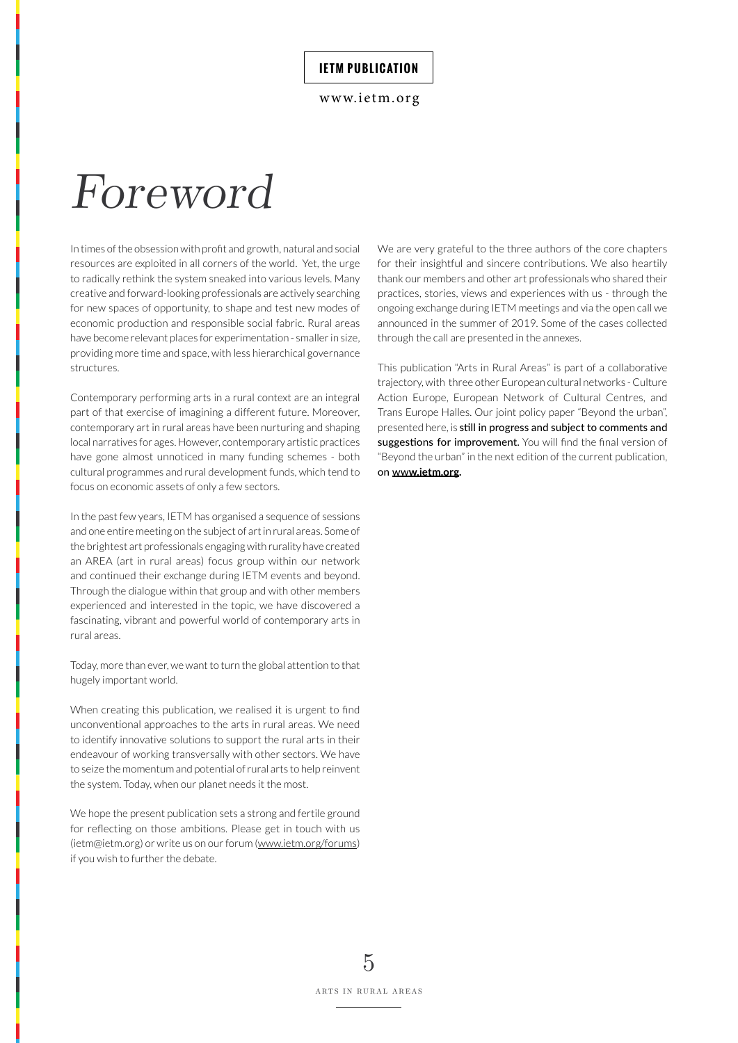<www.ietm.org>

# *Foreword*

In times of the obsession with profit and growth, natural and social resources are exploited in all corners of the world. Yet, the urge to radically rethink the system sneaked into various levels. Many creative and forward-looking professionals are actively searching for new spaces of opportunity, to shape and test new modes of economic production and responsible social fabric. Rural areas have become relevant places for experimentation - smaller in size, providing more time and space, with less hierarchical governance structures.

Contemporary performing arts in a rural context are an integral part of that exercise of imagining a different future. Moreover, contemporary art in rural areas have been nurturing and shaping local narratives for ages. However, contemporary artistic practices have gone almost unnoticed in many funding schemes - both cultural programmes and rural development funds, which tend to focus on economic assets of only a few sectors.

In the past few years, IETM has organised a sequence of sessions and one entire meeting on the subject of art in rural areas. Some of the brightest art professionals engaging with rurality have created an AREA (art in rural areas) focus group within our network and continued their exchange during IETM events and beyond. Through the dialogue within that group and with other members experienced and interested in the topic, we have discovered a fascinating, vibrant and powerful world of contemporary arts in rural areas.

Today, more than ever, we want to turn the global attention to that hugely important world.

When creating this publication, we realised it is urgent to find unconventional approaches to the arts in rural areas. We need to identify innovative solutions to support the rural arts in their endeavour of working transversally with other sectors. We have to seize the momentum and potential of rural arts to help reinvent the system. Today, when our planet needs it the most.

We hope the present publication sets a strong and fertile ground for reflecting on those ambitions. Please get in touch with us (ietm@ietm.org) or write us on our forum ([www.ietm.org/forums](http://www.ietm.org/forums)) if you wish to further the debate.

We are very grateful to the three authors of the core chapters for their insightful and sincere contributions. We also heartily thank our members and other art professionals who shared their practices, stories, views and experiences with us - through the ongoing exchange during IETM meetings and via the open call we announced in the summer of 2019. Some of the cases collected through the call are presented in the annexes.

This publication "Arts in Rural Areas" is part of a collaborative trajectory, with three other European cultural networks - Culture Action Europe, European Network of Cultural Centres, and Trans Europe Halles. Our joint policy paper "Beyond the urban", presented here, is still in progress and subject to comments and suggestions for improvement. You will find the final version of "Beyond the urban" in the next edition of the current publication, on ww**[w.ietm.org.](http://www.ietm.org)**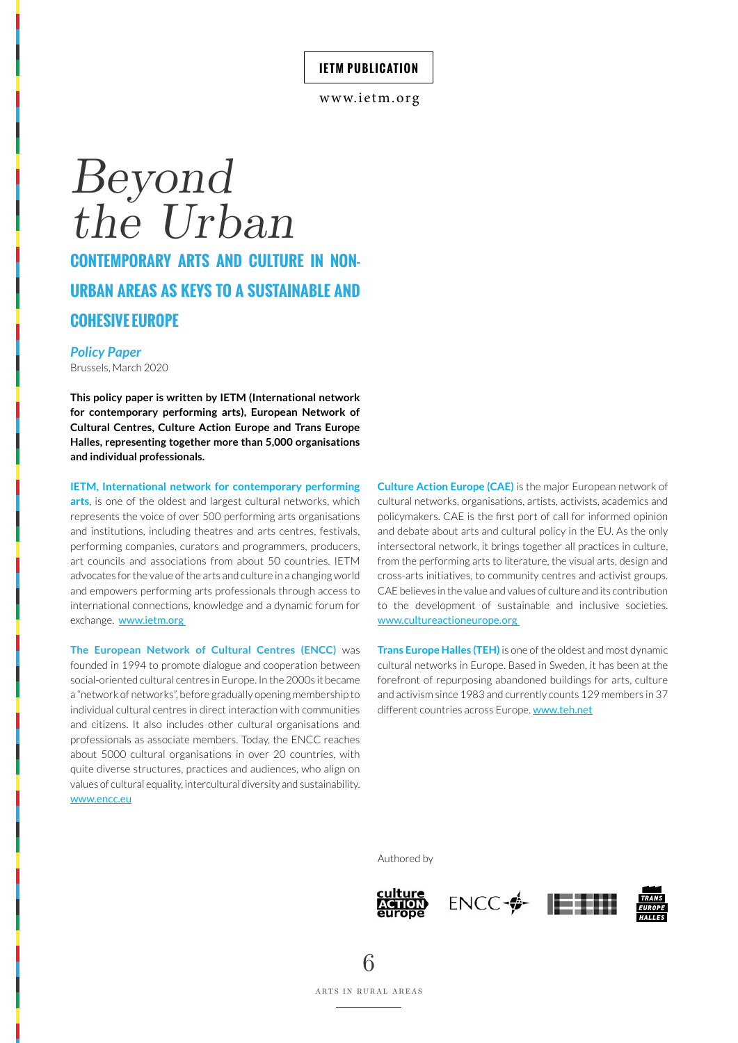# *Beyond the Urban* **CONTEMPORARY ARTS AND CULTURE IN NON-URBAN AREAS AS KEYS TO A SUSTAINABLE AND COHESIVE EUROPE**

#### *Policy Paper*

Brussels, March 2020

**This policy paper is written by IETM (International network for contemporary performing arts), European Network of Cultural Centres, Culture Action Europe and Trans Europe Halles, representing together more than 5,000 organisations and individual professionals.**

**IETM, International network for contemporary performing** 

**arts**, is one of the oldest and largest cultural networks, which represents the voice of over 500 performing arts organisations and institutions, including theatres and arts centres, festivals, performing companies, curators and programmers, producers, art councils and associations from about 50 countries. IETM advocates for the value of the arts and culture in a changing world and empowers performing arts professionals through access to international connections, knowledge and a dynamic forum for exchange. www.ietm.org

**The European Network of Cultural Centres (ENCC)** was founded in 1994 to promote dialogue and cooperation between social-oriented cultural centres in Europe. In the 2000s it became a "network of networks", before gradually opening membership to individual cultural centres in direct interaction with communities and citizens. It also includes other cultural organisations and professionals as associate members. Today, the ENCC reaches about 5000 cultural organisations in over 20 countries, with quite diverse structures, practices and audiences, who align on values of cultural equality, intercultural diversity and sustainability. www.encc.eu

**Culture Action Europe (CAE)** is the major European network of cultural networks, organisations, artists, activists, academics and policymakers. CAE is the first port of call for informed opinion and debate about arts and cultural policy in the EU. As the only intersectoral network, it brings together all practices in culture, from the performing arts to literature, the visual arts, design and cross-arts initiatives, to community centres and activist groups. CAE believes in the value and values of culture and its contribution to the development of sustainable and inclusive societies. www.cultureactioneurope.org

**Trans Europe Halles (TEH)** is one of the oldest and most dynamic cultural networks in Europe. Based in Sweden, it has been at the forefront of repurposing abandoned buildings for arts, culture and activism since 1983 and currently counts 129 members in 37 different countries across Europe. www.teh.net

Authored by







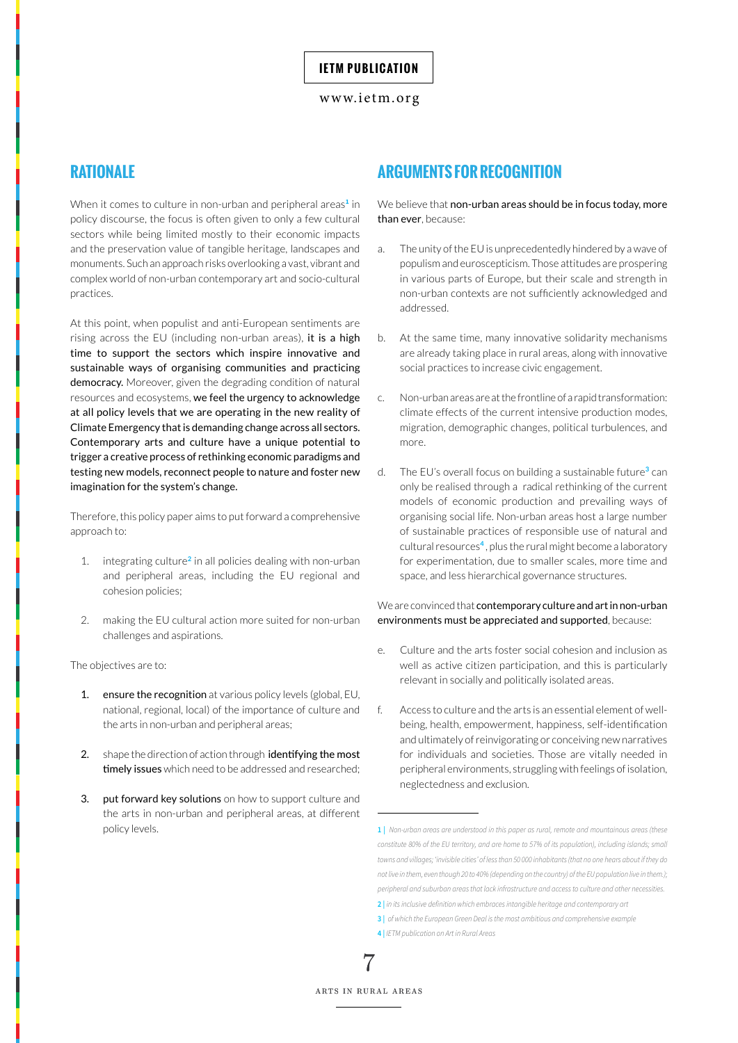## **RATIONALE**

When it comes to culture in non-urban and peripheral areas**<sup>1</sup>** in policy discourse, the focus is often given to only a few cultural sectors while being limited mostly to their economic impacts and the preservation value of tangible heritage, landscapes and monuments. Such an approach risks overlooking a vast, vibrant and complex world of non-urban contemporary art and socio-cultural practices.

At this point, when populist and anti-European sentiments are rising across the EU (including non-urban areas), it is a high time to support the sectors which inspire innovative and sustainable ways of organising communities and practicing democracy. Moreover, given the degrading condition of natural resources and ecosystems, we feel the urgency to acknowledge at all policy levels that we are operating in the new reality of Climate Emergency that is demanding change across all sectors. Contemporary arts and culture have a unique potential to trigger a creative process of rethinking economic paradigms and testing new models, reconnect people to nature and foster new imagination for the system's change.

Therefore, this policy paper aims to put forward a comprehensive approach to:

- 1. integrating culture**<sup>2</sup>** in all policies dealing with non-urban and peripheral areas, including the EU regional and cohesion policies;
- 2. making the EU cultural action more suited for non-urban challenges and aspirations.

The objectives are to:

- 1. ensure the recognition at various policy levels (global, EU, national, regional, local) of the importance of culture and the arts in non-urban and peripheral areas;
- 2. shape the direction of action through **identifying the most** timely issues which need to be addressed and researched;
- 3. put forward key solutions on how to support culture and the arts in non-urban and peripheral areas, at different policy levels.

## **ARGUMENTS FOR RECOGNITION**

We believe that non-urban areas should be in focus today, more than ever, because:

- a. The unity of the EU is unprecedentedly hindered by a wave of populism and euroscepticism. Those attitudes are prospering in various parts of Europe, but their scale and strength in non-urban contexts are not sufficiently acknowledged and addressed.
- b. At the same time, many innovative solidarity mechanisms are already taking place in rural areas, along with innovative social practices to increase civic engagement.
- c. Non-urban areas are at the frontline of a rapid transformation: climate effects of the current intensive production modes, migration, demographic changes, political turbulences, and more.
- d. The EU's overall focus on building a sustainable future**<sup>3</sup>** can only be realised through a radical rethinking of the current models of economic production and prevailing ways of organising social life. Non-urban areas host a large number of sustainable practices of responsible use of natural and cultural resources**<sup>4</sup>** , plus the rural might become a laboratory for experimentation, due to smaller scales, more time and space, and less hierarchical governance structures.

## We are convinced that **contemporary culture and art in non-urban** environments must be appreciated and supported, because:

- e. Culture and the arts foster social cohesion and inclusion as well as active citizen participation, and this is particularly relevant in socially and politically isolated areas.
- f. Access to culture and the arts is an essential element of wellbeing, health, empowerment, happiness, self-identification and ultimately of reinvigorating or conceiving new narratives for individuals and societies. Those are vitally needed in peripheral environments, struggling with feelings of isolation, neglectedness and exclusion.

7

**<sup>1 |</sup>** *Non-urban areas are understood in this paper as rural, remote and mountainous areas (these constitute 80% of the EU territory, and are home to 57% of its population), including islands; small towns and villages; 'invisible cities' of less than 50 000 inhabitants (that no one hears about if they do not live in them, even though 20 to 40% (depending on the country) of the EU population live in them.); peripheral and suburban areas that lack infrastructure and access to culture and other necessities.* **2 |** *in its inclusive definition which embraces intangible heritage and contemporary art*

**<sup>3 |</sup>** *of which the European Green Deal is the most ambitious and comprehensive example* **4 |** *IETM publication on Art in Rural Areas*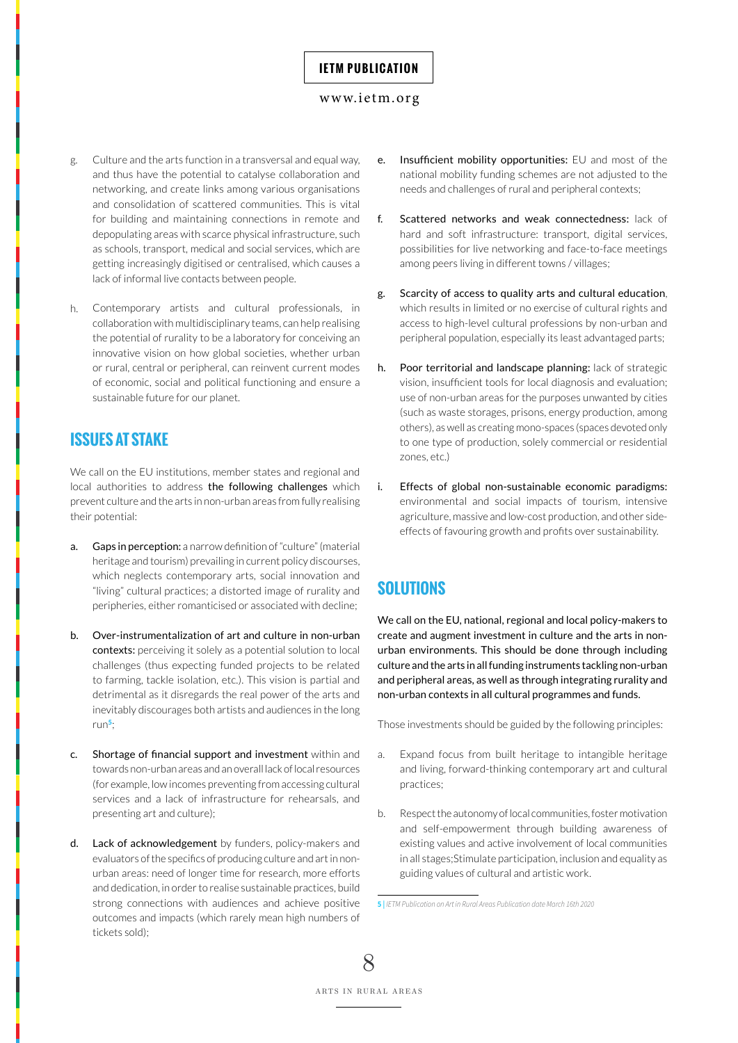#### <www.ietm.org>

- g. Culture and the arts function in a transversal and equal way, and thus have the potential to catalyse collaboration and networking, and create links among various organisations and consolidation of scattered communities. This is vital for building and maintaining connections in remote and depopulating areas with scarce physical infrastructure, such as schools, transport, medical and social services, which are getting increasingly digitised or centralised, which causes a lack of informal live contacts between people.
- h. Contemporary artists and cultural professionals, in collaboration with multidisciplinary teams, can help realising the potential of rurality to be a laboratory for conceiving an innovative vision on how global societies, whether urban or rural, central or peripheral, can reinvent current modes of economic, social and political functioning and ensure a sustainable future for our planet.

# **ISSUES AT STAKE**

We call on the EU institutions, member states and regional and local authorities to address the following challenges which prevent culture and the arts in non-urban areas from fully realising their potential:

- a. Gaps in perception: a narrow definition of "culture" (material heritage and tourism) prevailing in current policy discourses, which neglects contemporary arts, social innovation and "living" cultural practices; a distorted image of rurality and peripheries, either romanticised or associated with decline;
- b. Over-instrumentalization of art and culture in non-urban contexts: perceiving it solely as a potential solution to local challenges (thus expecting funded projects to be related to farming, tackle isolation, etc.). This vision is partial and detrimental as it disregards the real power of the arts and inevitably discourages both artists and audiences in the long run**<sup>5</sup>**;
- c. Shortage of financial support and investment within and towards non-urban areas and an overall lack of local resources (for example, low incomes preventing from accessing cultural services and a lack of infrastructure for rehearsals, and presenting art and culture);
- d. Lack of acknowledgement by funders, policy-makers and evaluators of the specifics of producing culture and art in nonurban areas: need of longer time for research, more efforts and dedication, in order to realise sustainable practices, build strong connections with audiences and achieve positive outcomes and impacts (which rarely mean high numbers of tickets sold);
- e. Insufficient mobility opportunities: EU and most of the national mobility funding schemes are not adjusted to the needs and challenges of rural and peripheral contexts;
- f. Scattered networks and weak connectedness: lack of hard and soft infrastructure: transport, digital services, possibilities for live networking and face-to-face meetings among peers living in different towns / villages;
- g. Scarcity of access to quality arts and cultural education, which results in limited or no exercise of cultural rights and access to high-level cultural professions by non-urban and peripheral population, especially its least advantaged parts;
- h. Poor territorial and landscape planning: lack of strategic vision, insufficient tools for local diagnosis and evaluation; use of non-urban areas for the purposes unwanted by cities (such as waste storages, prisons, energy production, among others), as well as creating mono-spaces (spaces devoted only to one type of production, solely commercial or residential zones, etc.)
- i. Effects of global non-sustainable economic paradigms: environmental and social impacts of tourism, intensive agriculture, massive and low-cost production, and other sideeffects of favouring growth and profits over sustainability.

# **SOLUTIONS**

We call on the EU, national, regional and local policy-makers to create and augment investment in culture and the arts in nonurban environments. This should be done through including culture and the arts in all funding instruments tackling non-urban and peripheral areas, as well as through integrating rurality and non-urban contexts in all cultural programmes and funds.

Those investments should be guided by the following principles:

- a. Expand focus from built heritage to intangible heritage and living, forward-thinking contemporary art and cultural practices;
- b. Respect the autonomy of local communities, foster motivation and self-empowerment through building awareness of existing values and active involvement of local communities in all stages;Stimulate participation, inclusion and equality as guiding values of cultural and artistic work.

**<sup>5 |</sup>** *IETM Publication on Art in Rural Areas Publication date March 16th 2020*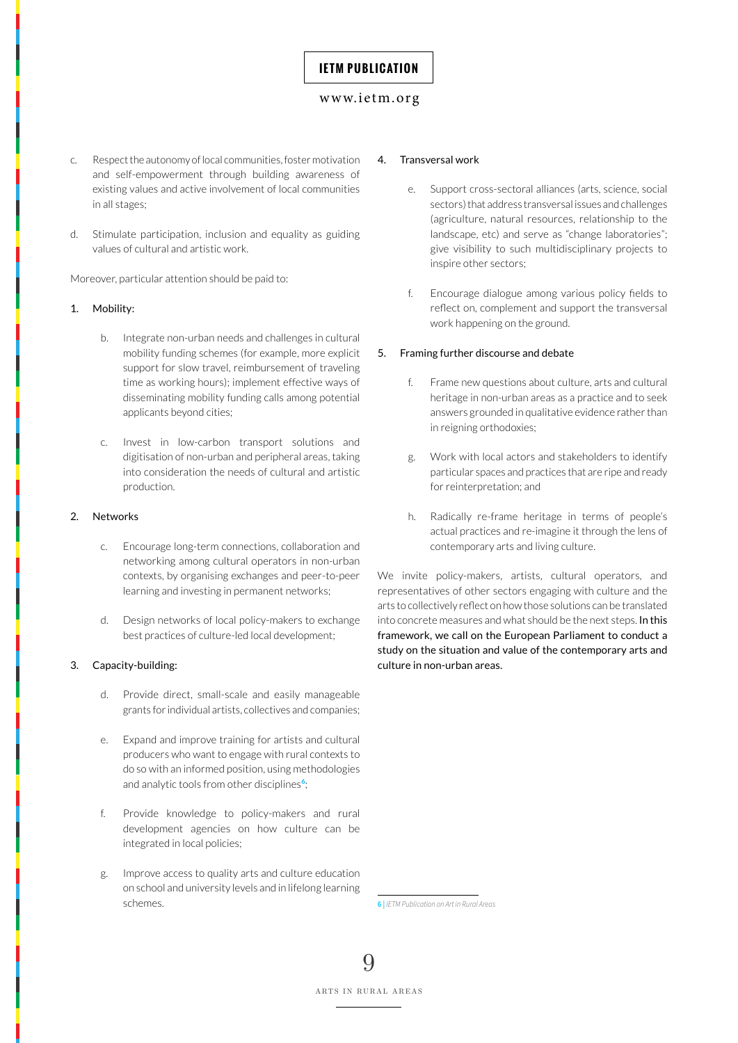#### <www.ietm.org>

- c. Respect the autonomy of local communities, foster motivation and self-empowerment through building awareness of existing values and active involvement of local communities in all stages;
- d. Stimulate participation, inclusion and equality as guiding values of cultural and artistic work.

Moreover, particular attention should be paid to:

#### 1. Mobility:

- b. Integrate non-urban needs and challenges in cultural mobility funding schemes (for example, more explicit support for slow travel, reimbursement of traveling time as working hours); implement effective ways of disseminating mobility funding calls among potential applicants beyond cities;
- c. Invest in low-carbon transport solutions and digitisation of non-urban and peripheral areas, taking into consideration the needs of cultural and artistic production.

#### 2. Networks

- c. Encourage long-term connections, collaboration and networking among cultural operators in non-urban contexts, by organising exchanges and peer-to-peer learning and investing in permanent networks;
- d. Design networks of local policy-makers to exchange best practices of culture-led local development;

#### 3. Capacity-building:

- d. Provide direct, small-scale and easily manageable grants for individual artists, collectives and companies;
- e. Expand and improve training for artists and cultural producers who want to engage with rural contexts to do so with an informed position, using methodologies and analytic tools from other disciplines**<sup>6</sup>**;
- f. Provide knowledge to policy-makers and rural development agencies on how culture can be integrated in local policies;
- g. Improve access to quality arts and culture education on school and university levels and in lifelong learning schemes.

#### 4. Transversal work

- e. Support cross-sectoral alliances (arts, science, social sectors) that address transversal issues and challenges (agriculture, natural resources, relationship to the landscape, etc) and serve as "change laboratories"; give visibility to such multidisciplinary projects to inspire other sectors;
- f. Encourage dialogue among various policy fields to reflect on, complement and support the transversal work happening on the ground.

#### 5. Framing further discourse and debate

- f. Frame new questions about culture, arts and cultural heritage in non-urban areas as a practice and to seek answers grounded in qualitative evidence rather than in reigning orthodoxies;
- g. Work with local actors and stakeholders to identify particular spaces and practices that are ripe and ready for reinterpretation; and
- h. Radically re-frame heritage in terms of people's actual practices and re-imagine it through the lens of contemporary arts and living culture.

We invite policy-makers, artists, cultural operators, and representatives of other sectors engaging with culture and the arts to collectively reflect on how those solutions can be translated into concrete measures and what should be the next steps. In this framework, we call on the European Parliament to conduct a study on the situation and value of the contemporary arts and culture in non-urban areas.

**6 |** *IETM Publication on Art in Rural Areas*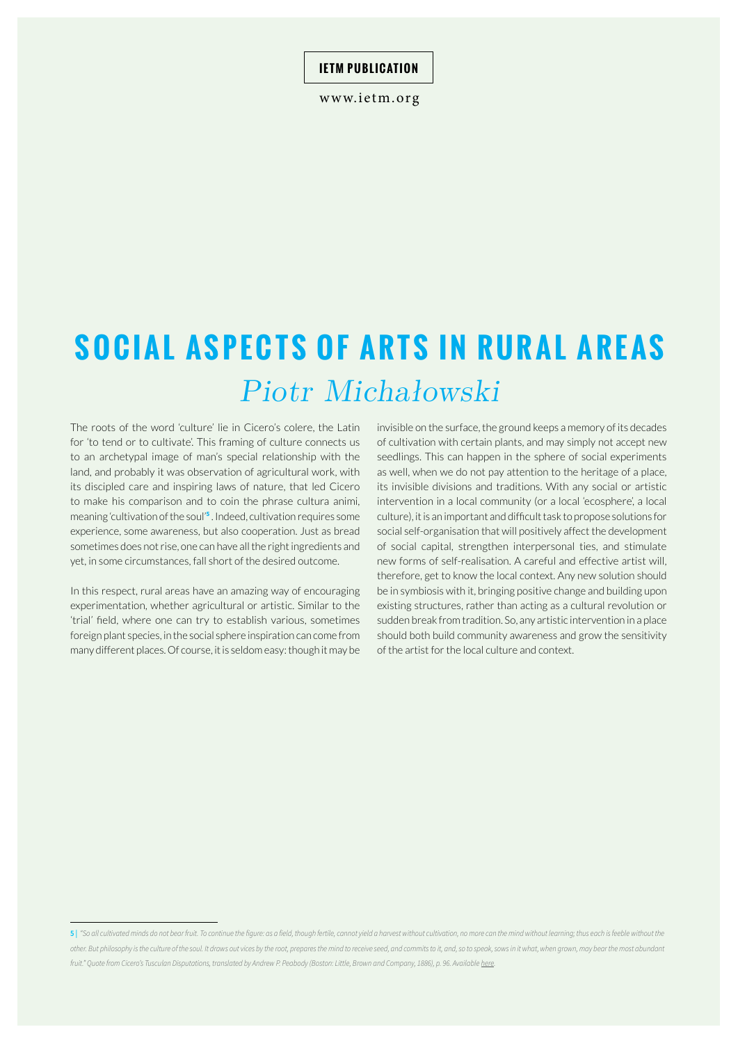www.ietm.org

# **SOCIAL ASPECTS OF ARTS IN RURAL AREAS** *Piotr Michałowski*

The roots of the word 'culture' lie in Cicero's colere, the Latin for 'to tend or to cultivate'. This framing of culture connects us to an archetypal image of man's special relationship with the land, and probably it was observation of agricultural work, with its discipled care and inspiring laws of nature, that led Cicero to make his comparison and to coin the phrase cultura animi, meaning 'cultivation of the soul'**<sup>5</sup>** . Indeed, cultivation requires some experience, some awareness, but also cooperation. Just as bread sometimes does not rise, one can have all the right ingredients and yet, in some circumstances, fall short of the desired outcome.

In this respect, rural areas have an amazing way of encouraging experimentation, whether agricultural or artistic. Similar to the 'trial' field, where one can try to establish various, sometimes foreign plant species, in the social sphere inspiration can come from many different places. Of course, it is seldom easy: though it may be

invisible on the surface, the ground keeps a memory of its decades of cultivation with certain plants, and may simply not accept new seedlings. This can happen in the sphere of social experiments as well, when we do not pay attention to the heritage of a place, its invisible divisions and traditions. With any social or artistic intervention in a local community (or a local 'ecosphere', a local culture), it is an important and difficult task to propose solutions for social self-organisation that will positively affect the development of social capital, strengthen interpersonal ties, and stimulate new forms of self-realisation. A careful and effective artist will, therefore, get to know the local context. Any new solution should be in symbiosis with it, bringing positive change and building upon existing structures, rather than acting as a cultural revolution or sudden break from tradition. So, any artistic intervention in a place should both build community awareness and grow the sensitivity of the artist for the local culture and context.

<sup>51 &</sup>quot;So all cultivated minds do not bear fruit. To continue the figure: as a field, though fertile, cannot vield a harvest without cultivation, no more can the mind without learning: thus each is feeble without the *other. But philosophy is the culture of the soul. It draws out vices by the root, prepares the mind to receive seed, and commits to it, and, so to speak, sows in it what, when grown, may bear the most abundant fruit." Quote from Cicero's Tusculan Disputations, translated by Andrew P. Peabody (Boston: Little, Brown and Company, 1886), p. 96. Available [here.](https://archive.org/stream/cicerostusculand00ciceiala/cicerostusculand00ciceiala_djvu.txt)*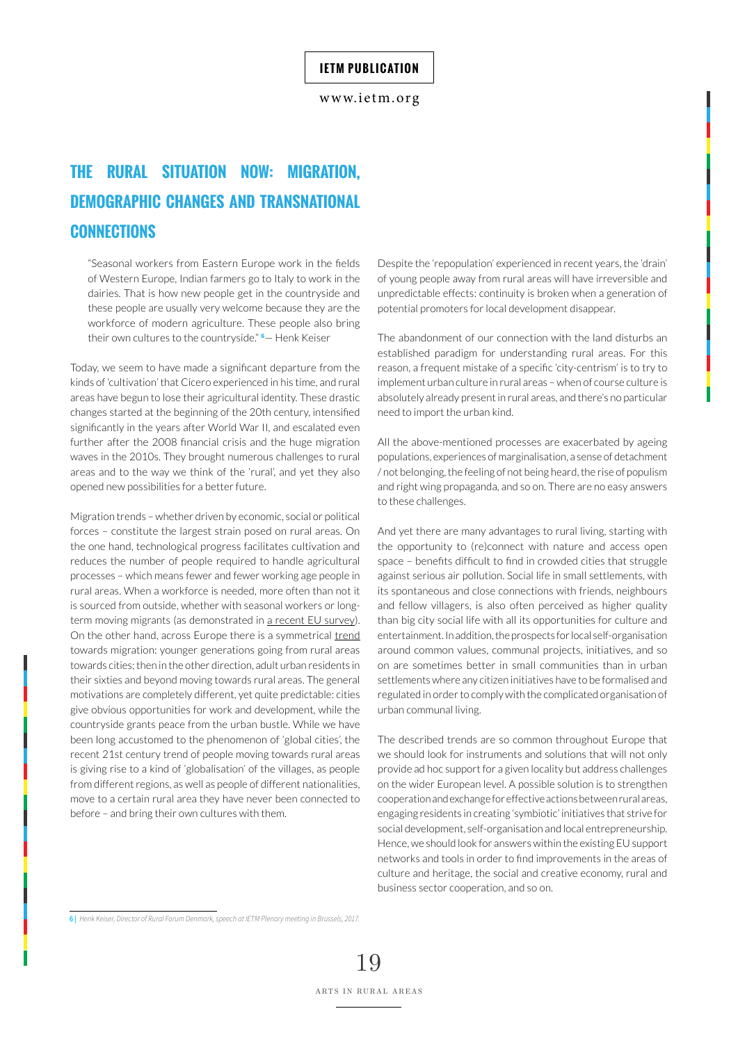<www.ietm.org>

# **THE RURAL SITUATION NOW: MIGRATION, DEMOGRAPHIC CHANGES AND TRANSNATIONAL CONNECTIONS**

"Seasonal workers from Eastern Europe work in the fields of Western Europe, Indian farmers go to Italy to work in the dairies. That is how new people get in the countryside and these people are usually very welcome because they are the workforce of modern agriculture. These people also bring their own cultures to the countryside." **<sup>6</sup>** — Henk Keiser

Today, we seem to have made a significant departure from the kinds of 'cultivation' that Cicero experienced in his time, and rural areas have begun to lose their agricultural identity. These drastic changes started at the beginning of the 20th century, intensified significantly in the years after World War II, and escalated even further after the 2008 financial crisis and the huge migration waves in the 2010s. They brought numerous challenges to rural areas and to the way we think of the 'rural', and yet they also opened new possibilities for a better future.

Migration trends – whether driven by economic, social or political forces – constitute the largest strain posed on rural areas. On the one hand, technological progress facilitates cultivation and reduces the number of people required to handle agricultural processes – which means fewer and fewer working age people in rural areas. When a workforce is needed, more often than not it is sourced from outside, whether with seasonal workers or longterm moving migrants (as demonstrated in [a recent EU survey](https://ec.europa.eu/jrc/en/publication/migration-eu-rural-areas)). On the other hand, across Europe there is a symmetrical [trend](http://ec.europa.eu/research/bitlys/migration/migration-realities-opportunities.html)  towards migration: younger generations going from rural areas towards cities; then in the other direction, adult urban residents in their sixties and beyond moving towards rural areas. The general motivations are completely different, yet quite predictable: cities give obvious opportunities for work and development, while the countryside grants peace from the urban bustle. While we have been long accustomed to the phenomenon of 'global cities', the recent 21st century trend of people moving towards rural areas is giving rise to a kind of 'globalisation' of the villages, as people from different regions, as well as people of different nationalities, move to a certain rural area they have never been connected to before – and bring their own cultures with them.

Despite the 'repopulation' experienced in recent years, the 'drain' of young people away from rural areas will have irreversible and unpredictable effects: continuity is broken when a generation of potential promoters for local development disappear.

The abandonment of our connection with the land disturbs an established paradigm for understanding rural areas. For this reason, a frequent mistake of a specific 'city-centrism' is to try to implement urban culture in rural areas – when of course culture is absolutely already present in rural areas, and there's no particular need to import the urban kind.

All the above-mentioned processes are exacerbated by ageing populations, experiences of marginalisation, a sense of detachment / not belonging, the feeling of not being heard, the rise of populism and right wing propaganda, and so on. There are no easy answers to these challenges.

And yet there are many advantages to rural living, starting with the opportunity to (re)connect with nature and access open space – benefits difficult to find in crowded cities that struggle against serious air pollution. Social life in small settlements, with its spontaneous and close connections with friends, neighbours and fellow villagers, is also often perceived as higher quality than big city social life with all its opportunities for culture and entertainment. In addition, the prospects for local self-organisation around common values, communal projects, initiatives, and so on are sometimes better in small communities than in urban settlements where any citizen initiatives have to be formalised and regulated in order to comply with the complicated organisation of urban communal living.

The described trends are so common throughout Europe that we should look for instruments and solutions that will not only provide ad hoc support for a given locality but address challenges on the wider European level. A possible solution is to strengthen cooperation and exchange for effective actions between rural areas, engaging residents in creating 'symbiotic' initiatives that strive for social development, self-organisation and local entrepreneurship. Hence, we should look for answers within the existing EU support networks and tools in order to find improvements in the areas of culture and heritage, the social and creative economy, rural and business sector cooperation, and so on.

**<sup>6 |</sup>** *Henk Keiser, Director of Rural Forum Denmark, speech at IETM Plenary meeting in Brussels, 2017.*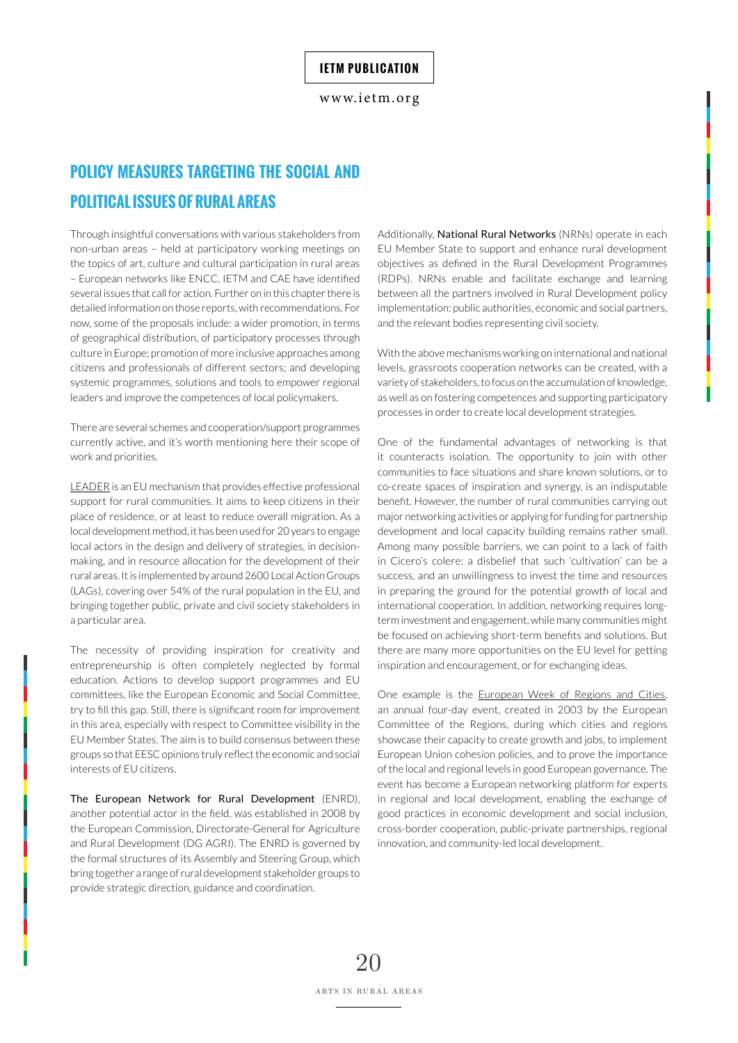# **POLICY MEASURES TARGETING THE SOCIAL AND POLITICAL ISSUES OF RURAL AREAS**

Through insightful conversations with various stakeholders from non-urban areas – held at participatory working meetings on the topics of art, culture and cultural participation in rural areas – European networks like ENCC, IETM and CAE have identified several issues that call for action. Further on in this chapter there is detailed information on those reports, with recommendations. For now, some of the proposals include: a wider promotion, in terms of geographical distribution, of participatory processes through culture in Europe; promotion of more inclusive approaches among citizens and professionals of different sectors; and developing systemic programmes, solutions and tools to empower regional leaders and improve the competences of local policymakers.

There are several schemes and cooperation/support programmes currently active, and it's worth mentioning here their scope of work and priorities.

[LEADER](https://enrd.ec.europa.eu/leader-clld_en) is an EU mechanism that provides effective professional support for rural communities. It aims to keep citizens in their place of residence, or at least to reduce overall migration. As a local development method, it has been used for 20 years to engage local actors in the design and delivery of strategies, in decisionmaking, and in resource allocation for the development of their rural areas. It is implemented by around 2600 Local Action Groups (LAGs), covering over 54% of the rural population in the EU, and bringing together public, private and civil society stakeholders in a particular area.

The necessity of providing inspiration for creativity and entrepreneurship is often completely neglected by formal education. Actions to develop support programmes and EU committees, like the European Economic and Social Committee, try to fill this gap. Still, there is significant room for improvement in this area, especially with respect to Committee visibility in the EU Member States. The aim is to build consensus between these groups so that EESC opinions truly reflect the economic and social interests of EU citizens.

The European Network for Rural Development [\(ENRD](https://enrd.ec.europa.eu/networking/nrn-profiles_en)), another potential actor in the field, was established in 2008 by the European Commission, Directorate-General for Agriculture and Rural Development (DG AGRI). The ENRD is governed by the formal structures of its Assembly and Steering Group, which bring together a range of rural development stakeholder groups to provide strategic direction, guidance and coordination.

Additionally, National Rural Networks (NRNs) operate in each EU Member State to support and enhance rural development objectives as defined in the Rural Development Programmes (RDPs). NRNs enable and facilitate exchange and learning between all the partners involved in Rural Development policy implementation: public authorities, economic and social partners, and the relevant bodies representing civil society.

With the above mechanisms working on international and national levels, grassroots cooperation networks can be created, with a variety of stakeholders, to focus on the accumulation of knowledge, as well as on fostering competences and supporting participatory processes in order to create local development strategies.

One of the fundamental advantages of networking is that it counteracts isolation. The opportunity to join with other communities to face situations and share known solutions, or to co-create spaces of inspiration and synergy, is an indisputable benefit. However, the number of rural communities carrying out major networking activities or applying for funding for partnership development and local capacity building remains rather small. Among many possible barriers, we can point to a lack of faith in Cicero's colere: a disbelief that such 'cultivation' can be a success, and an unwillingness to invest the time and resources in preparing the ground for the potential growth of local and international cooperation. In addition, networking requires longterm investment and engagement, while many communities might be focused on achieving short-term benefits and solutions. But there are many more opportunities on the EU level for getting inspiration and encouragement, or for exchanging ideas.

One example is the [European Week of Regions and Cities,](https://europa.eu/regions-and-cities/about/nutshell_en) an annual four-day event, created in 2003 by the European Committee of the Regions, during which cities and regions showcase their capacity to create growth and jobs, to implement European Union cohesion policies, and to prove the importance of the local and regional levels in good European governance. The event has become a European networking platform for experts in regional and local development, enabling the exchange of good practices in economic development and social inclusion, cross-border cooperation, public-private partnerships, regional innovation, and community-led local development.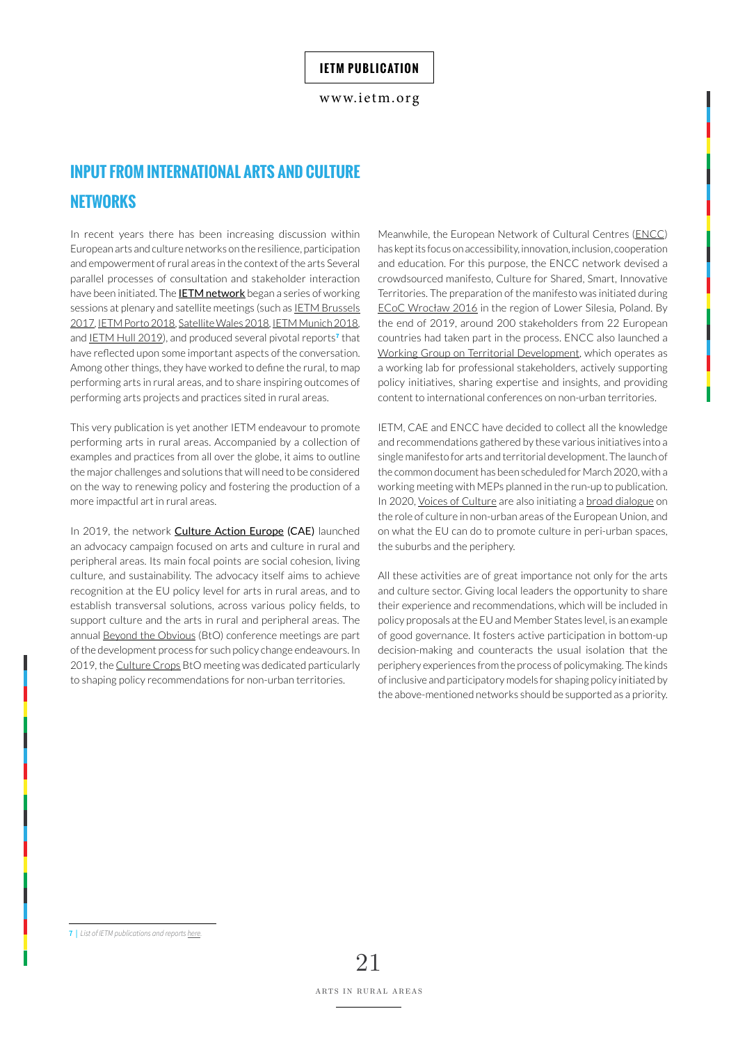# **INPUT FROM INTERNATIONAL ARTS AND CULTURE NETWORKS**

In recent years there has been increasing discussion within European arts and culture networks on the resilience, participation and empowerment of rural areas in the context of the arts Several parallel processes of consultation and stakeholder interaction have been initiated. The **[IETM network](https://www.ietm.org/)** began a series of working sessions at plenary and satellite meetings (such as IETM Brussels [2017](https://www.ietm.org/en/ietm-brussels-plenary-meeting-2017), [IETM Porto 2018](https://www.ietm.org/en/porto), [Satellite Wales 2018](https://www.ietm.org/en/satellite-llandudno-2018), [IETM Munich 2018,](https://www.ietm.org/en/munich) and <u>[IETM Hull 2019](https://www.ietm.org/en/hull)</u>), and produced several pivotal reports<sup>7</sup> that have reflected upon some important aspects of the conversation. Among other things, they have worked to define the rural, to map performing arts in rural areas, and to share inspiring outcomes of performing arts projects and practices sited in rural areas.

This very publication is yet another IETM endeavour to promote performing arts in rural areas. Accompanied by a collection of examples and practices from all over the globe, it aims to outline the major challenges and solutions that will need to be considered on the way to renewing policy and fostering the production of a more impactful art in rural areas.

In 2019, the network **[Culture Action Europe](https://cultureactioneurope.org/) (CAE)** launched an advocacy campaign focused on arts and culture in rural and peripheral areas. Its main focal points are social cohesion, living culture, and sustainability. The advocacy itself aims to achieve recognition at the EU policy level for arts in rural areas, and to establish transversal solutions, across various policy fields, to support culture and the arts in rural and peripheral areas. The annual [Beyond the Obvious](https://www.cae-bto.org/) (BtO) conference meetings are part of the development process for such policy change endeavours. In 2019, the [Culture Crops](https://cultureactioneurope.org/news/culture-crops-report/) BtO meeting was dedicated particularly to shaping policy recommendations for non-urban territories.

Meanwhile, the European Network of Cultural Centres ([ENCC](https://encc.eu/)) has kept its focus on accessibility, innovation, inclusion, cooperation and education. For this purpose, the ENCC network devised a crowdsourced manifesto, Culture for Shared, Smart, Innovative Territories. The preparation of the manifesto was initiated during [ECoC Wrocław 2016](http://www.wroclaw2016.strefakultury.pl/about-ecoc) in the region of Lower Silesia, Poland. By the end of 2019, around 200 stakeholders from 22 European countries had taken part in the process. ENCC also launched a [Working Group on Territorial Development,](https://encc.eu/activities/projects/working-group-territorial-development) which operates as a working lab for professional stakeholders, actively supporting policy initiatives, sharing expertise and insights, and providing content to international conferences on non-urban territories.

IETM, CAE and ENCC have decided to collect all the knowledge and recommendations gathered by these various initiatives into a single manifesto for arts and territorial development. The launch of the common document has been scheduled for March 2020, with a working meeting with MEPs planned in the run-up to publication. In 2020, [Voices of Culture](https://voicesofculture.eu/) are also initiating a [broad dialogue](https://voicesofculture.eu/2019/10/10/the-role-of-culture-in-non-urban-areas-of-the-european-union/) on the role of culture in non-urban areas of the European Union, and on what the EU can do to promote culture in peri-urban spaces, the suburbs and the periphery.

All these activities are of great importance not only for the arts and culture sector. Giving local leaders the opportunity to share their experience and recommendations, which will be included in policy proposals at the EU and Member States level, is an example of good governance. It fosters active participation in bottom-up decision-making and counteracts the usual isolation that the periphery experiences from the process of policymaking. The kinds of inclusive and participatory models for shaping policy initiated by the above-mentioned networks should be supported as a priority.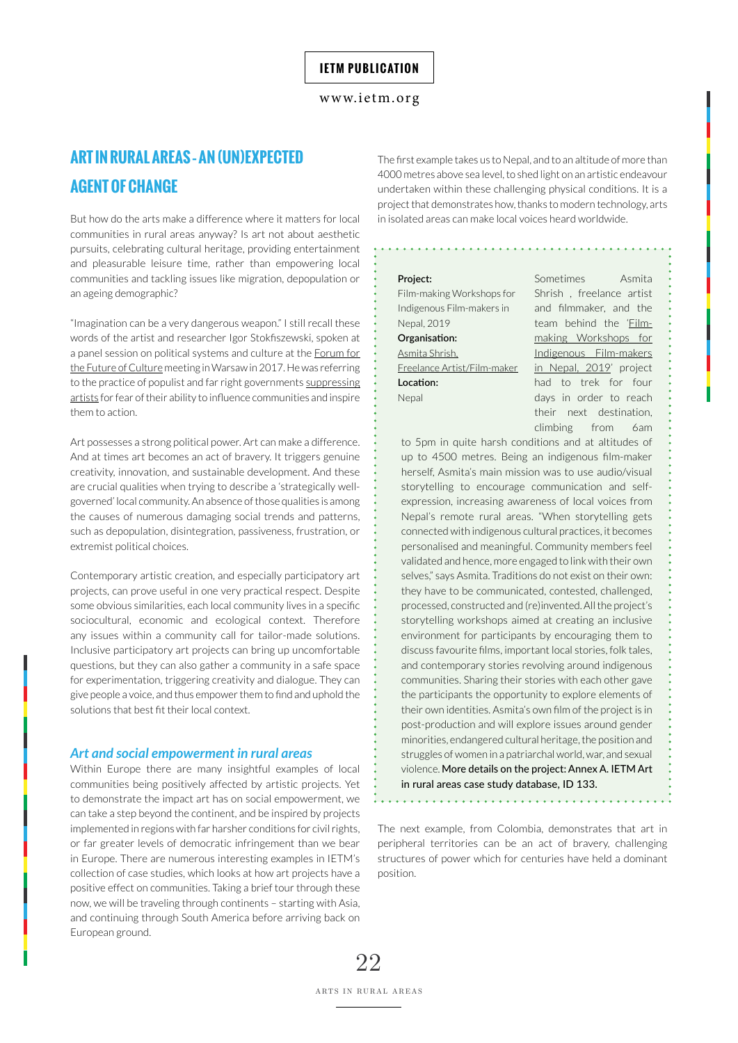# **ART IN RURAL AREAS – AN (UN)EXPECTED AGENT OF CHANGE**

But how do the arts make a difference where it matters for local communities in rural areas anyway? Is art not about aesthetic pursuits, celebrating cultural heritage, providing entertainment and pleasurable leisure time, rather than empowering local communities and tackling issues like migration, depopulation or an ageing demographic?

"Imagination can be a very dangerous weapon." I still recall these words of the artist and researcher Igor Stokfiszewski, spoken at a panel session on political systems and culture at the [Forum for](https://www.pressenza.com/2017/11/poland-forum-for-the-future-of-culture-manifesto-let-us-get-together/)  [the Future of Culture](https://www.pressenza.com/2017/11/poland-forum-for-the-future-of-culture-manifesto-let-us-get-together/) meeting in Warsaw in 2017. He was referring to the practice of populist and far right governments [suppressing](http://politicalcritique.org/cee/poland/2017/appeal-for-international-solidarity-with-culture-makers-in-poland/)  [artists](http://politicalcritique.org/cee/poland/2017/appeal-for-international-solidarity-with-culture-makers-in-poland/) for fear of their ability to influence communities and inspire them to action.

Art possesses a strong political power. Art can make a difference. And at times art becomes an act of bravery. It triggers genuine creativity, innovation, and sustainable development. And these are crucial qualities when trying to describe a 'strategically wellgoverned' local community. An absence of those qualities is among the causes of numerous damaging social trends and patterns, such as depopulation, disintegration, passiveness, frustration, or extremist political choices.

Contemporary artistic creation, and especially participatory art projects, can prove useful in one very practical respect. Despite some obvious similarities, each local community lives in a specific sociocultural, economic and ecological context. Therefore any issues within a community call for tailor-made solutions. Inclusive participatory art projects can bring up uncomfortable questions, but they can also gather a community in a safe space for experimentation, triggering creativity and dialogue. They can give people a voice, and thus empower them to find and uphold the solutions that best fit their local context.

#### *Art and social empowerment in rural areas*

Within Europe there are many insightful examples of local communities being positively affected by artistic projects. Yet to demonstrate the impact art has on social empowerment, we can take a step beyond the continent, and be inspired by projects implemented in regions with far harsher conditions for civil rights, or far greater levels of democratic infringement than we bear in Europe. There are numerous interesting examples in IETM's collection of case studies, which looks at how art projects have a positive effect on communities. Taking a brief tour through these now, we will be traveling through continents – starting with Asia, and continuing through South America before arriving back on European ground.

The first example takes us to Nepal, and to an altitude of more than 4000 metres above sea level, to shed light on an artistic endeavour undertaken within these challenging physical conditions. It is a project that demonstrates how, thanks to modern technology, arts in isolated areas can make local voices heard worldwide.

#### **Project:**

| Film-making Workshops for   |
|-----------------------------|
| Indigenous Film-makers in   |
| Nepal, 2019                 |
| Organisation:               |
| Asmita Shrish,              |
| Freelance Artist/Film-maker |
| Location:                   |
| Nepal                       |
|                             |

Sometimes Asmita Shrish , freelance artist and filmmaker, and the team behind the '[Film](https://sinchi-foundation.com/news/discourse-for-indigenous-film-makers-in-nepal/)[making Workshops for](https://sinchi-foundation.com/news/discourse-for-indigenous-film-makers-in-nepal/) [Indigenous Film-makers](https://sinchi-foundation.com/news/discourse-for-indigenous-film-makers-in-nepal/) [in Nepal, 2019'](https://sinchi-foundation.com/news/discourse-for-indigenous-film-makers-in-nepal/) project had to trek for four days in order to reach their next destination, climbing from 6am

to 5pm in quite harsh conditions and at altitudes of up to 4500 metres. Being an indigenous film-maker herself, Asmita's main mission was to use audio/visual storytelling to encourage communication and selfexpression, increasing awareness of local voices from Nepal's remote rural areas. "When storytelling gets connected with indigenous cultural practices, it becomes personalised and meaningful. Community members feel validated and hence, more engaged to link with their own selves," says Asmita. Traditions do not exist on their own: they have to be communicated, contested, challenged, processed, constructed and (re)invented. All the project's storytelling workshops aimed at creating an inclusive environment for participants by encouraging them to discuss favourite films, important local stories, folk tales, and contemporary stories revolving around indigenous communities. Sharing their stories with each other gave the participants the opportunity to explore elements of their own identities. Asmita's own film of the project is in post-production and will explore issues around gender minorities, endangered cultural heritage, the position and struggles of women in a patriarchal world, war, and sexual violence. More details on the project: Annex A. IETM Art in rural areas case study database, ID 133.

The next example, from Colombia, demonstrates that art in peripheral territories can be an act of bravery, challenging structures of power which for centuries have held a dominant position.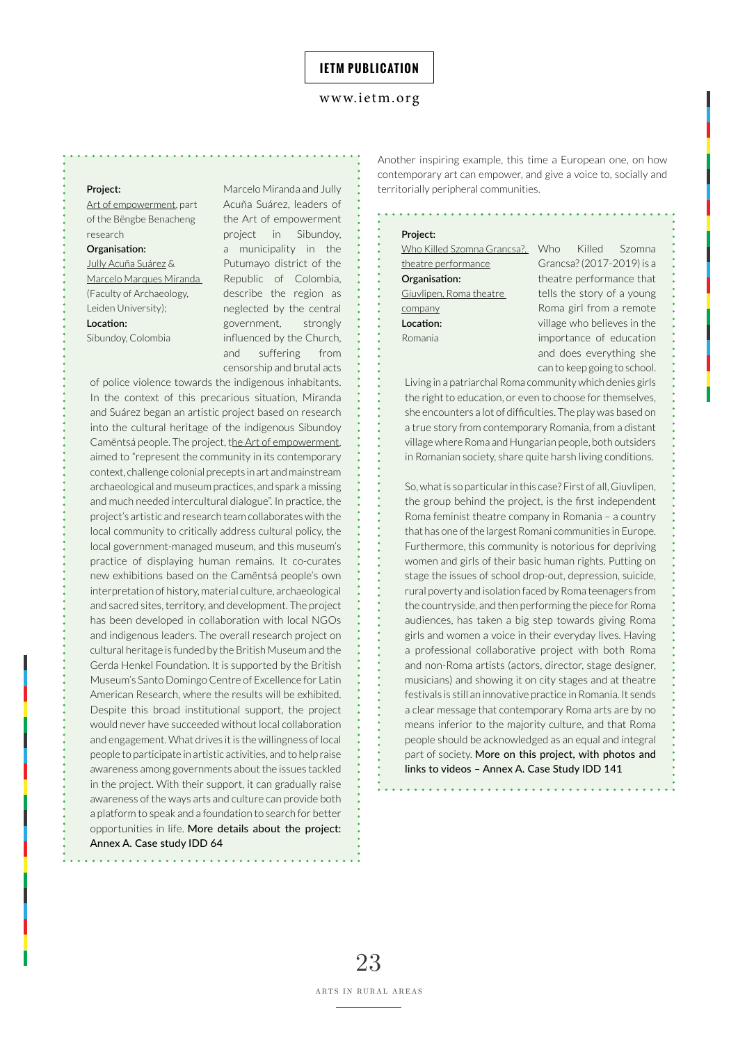#### **Project:**

[Art of empowerment](https://www.ayents.com/), part of the Bëngbe Benacheng research

#### **Organisation:**

[Jully Acuña Suárez](https://www.linkedin.com/in/jully-acuña/) & [Marcelo Marques Miranda](https://www.linkedin.com/in/marcelo-m-miranda/)  (Faculty of Archaeology, Leiden University);

#### **Location:**

Sibundoy, Colombia

Marcelo Miranda and Jully Acuña Suárez, leaders of the Art of empowerment project in Sibundoy, a municipality in the Putumayo district of the Republic of Colombia, describe the region as neglected by the central government, strongly influenced by the Church, and suffering from censorship and brutal acts

of police violence towards the indigenous inhabitants. In the context of this precarious situation, Miranda and Suárez began an artistic project based on research into the cultural heritage of the indigenous Sibundoy Camëntsá people. The project, t[he Art of empowerment](https://www.es-c.net/copy-of-6), aimed to "represent the community in its contemporary context, challenge colonial precepts in art and mainstream archaeological and museum practices, and spark a missing and much needed intercultural dialogue". In practice, the project's artistic and research team collaborates with the local community to critically address cultural policy, the local government-managed museum, and this museum's practice of displaying human remains. It co-curates new exhibitions based on the Camëntsá people's own interpretation of history, material culture, archaeological and sacred sites, territory, and development. The project has been developed in collaboration with local NGOs and indigenous leaders. The overall research project on cultural heritage is funded by the British Museum and the Gerda Henkel Foundation. It is supported by the British Museum's Santo Domingo Centre of Excellence for Latin American Research, where the results will be exhibited. Despite this broad institutional support, the project would never have succeeded without local collaboration and engagement. What drives it is the willingness of local people to participate in artistic activities, and to help raise awareness among governments about the issues tackled in the project. With their support, it can gradually raise awareness of the ways arts and culture can provide both a platform to speak and a foundation to search for better opportunities in life. More details about the project: Annex A. Case study IDD 64

Another inspiring example, this time a European one, on how contemporary art can empower, and give a voice to, socially and territorially peripheral communities.

#### **Project:**

[Who Killed Szomna Grancsa?,](https://youtu.be/i92Z162L35M) Who [theatre performance](https://youtu.be/i92Z162L35M) **Organisation:**  [Giuvlipen, Roma theatre](http://www.giuvlipen.com)  [company](http://www.giuvlipen.com) **Location:**  Romania

Killed Szomna Grancsa? (2017-2019) is a theatre performance that tells the story of a young Roma girl from a remote village who believes in the importance of education and does everything she can to keep going to school.

Living in a patriarchal Roma community which denies girls the right to education, or even to choose for themselves, she encounters a lot of difficulties. The play was based on a true story from contemporary Romania, from a distant village where Roma and Hungarian people, both outsiders in Romanian society, share quite harsh living conditions.

So, what is so particular in this case? First of all, Giuvlipen, the group behind the project, is the first independent Roma feminist theatre company in Romania – a country that has one of the largest Romani communities in Europe. Furthermore, this community is notorious for depriving women and girls of their basic human rights. Putting on stage the issues of school drop-out, depression, suicide, rural poverty and isolation faced by Roma teenagers from the countryside, and then performing the piece for Roma audiences, has taken a big step towards giving Roma girls and women a voice in their everyday lives. Having a professional collaborative project with both Roma and non-Roma artists (actors, director, stage designer, musicians) and showing it on city stages and at theatre festivals is still an innovative practice in Romania. It sends a clear message that contemporary Roma arts are by no means inferior to the majority culture, and that Roma people should be acknowledged as an equal and integral part of society. More on this project, with photos and links to videos – Annex A. Case Study IDD 141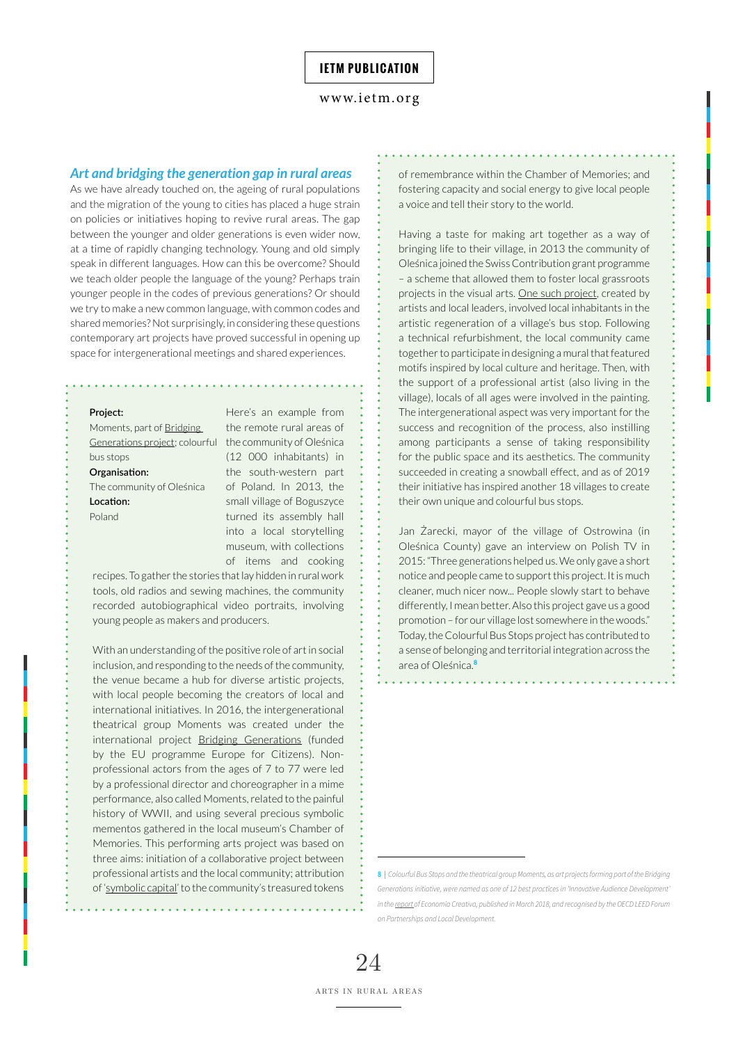#### *Art and bridging the generation gap in rural areas*

As we have already touched on, the ageing of rural populations and the migration of the young to cities has placed a huge strain on policies or initiatives hoping to revive rural areas. The gap between the younger and older generations is even wider now, at a time of rapidly changing technology. Young and old simply speak in different languages. How can this be overcome? Should we teach older people the language of the young? Perhaps train younger people in the codes of previous generations? Or should we try to make a new common language, with common codes and shared memories? Not surprisingly, in considering these questions contemporary art projects have proved successful in opening up space for intergenerational meetings and shared experiences.

#### **Project:**

[Generations project;](http://bridging-generations.de/) colourful the community of Oleśnica Moments, part of [Bridging](http://bridging-generations.de/)  bus stops

**Organisation:**  The community of Oleśnica **Location:**  Poland

Here's an example from the remote rural areas of (12 000 inhabitants) in the south-western part of Poland. In 2013, the small village of Boguszyce turned its assembly hall into a local storytelling museum, with collections of items and cooking

recipes. To gather the stories that lay hidden in rural work tools, old radios and sewing machines, the community recorded autobiographical video portraits, involving young people as makers and producers.

With an understanding of the positive role of art in social inclusion, and responding to the needs of the community, the venue became a hub for diverse artistic projects, with local people becoming the creators of local and international initiatives. In 2016, the intergenerational theatrical group Moments was created under the international project [Bridging Generations](http://bridging-generations.de/) (funded by the EU programme Europe for Citizens). Nonprofessional actors from the ages of 7 to 77 were led by a professional director and choreographer in a mime performance, also called Moments, related to the painful history of WWII, and using several precious symbolic mementos gathered in the local museum's Chamber of Memories. This performing arts project was based on three aims: initiation of a collaborative project between professional artists and the local community; attribution of '[symbolic capital](https://link.springer.com/referenceworkentry/10.1007%2F978-94-007-0753-5_2961)' to the community's treasured tokens

of remembrance within the Chamber of Memories; and fostering capacity and social energy to give local people a voice and tell their story to the world.

Having a taste for making art together as a way of bringing life to their village, in 2013 the community of Oleśnica joined the Swiss Contribution grant programme – a scheme that allowed them to foster local grassroots projects in the visual arts. [One such project](https://nolesnica.pl/artykul/kolorowe-przystanki-w/394158), created by artists and local leaders, involved local inhabitants in the artistic regeneration of a village's bus stop. Following a technical refurbishment, the local community came together to participate in designing a mural that featured motifs inspired by local culture and heritage. Then, with the support of a professional artist (also living in the village), locals of all ages were involved in the painting. The intergenerational aspect was very important for the success and recognition of the process, also instilling among participants a sense of taking responsibility for the public space and its aesthetics. The community succeeded in creating a snowball effect, and as of 2019 their initiative has inspired another 18 villages to create their own unique and colourful bus stops.

Jan Żarecki, mayor of the village of Ostrowina (in Oleśnica County) gave an interview on Polish TV in 2015: "Three generations helped us. We only gave a short notice and people came to support this project. It is much cleaner, much nicer now... People slowly start to behave differently, I mean better. Also this project gave us a good promotion – for our village lost somewhere in the woods." Today, the Colourful Bus Stops project has contributed to a sense of belonging and territorial integration across the area of Oleśnica.**<sup>8</sup>**

and a straight and

**<sup>8 |</sup>** *Colourful Bus Stops and the theatrical group Moments, as art projects forming part of the Bridging Generations initiative, were named as one of 12 best practices in 'Innovative Audience Development' in the [report](https://nolesnica.pl/artykul/kolorowe-przystanki-w/394158) of Economia Creativa, published in March 2018, and recognised by the OECD LEED Forum on Partnerships and Local Development.*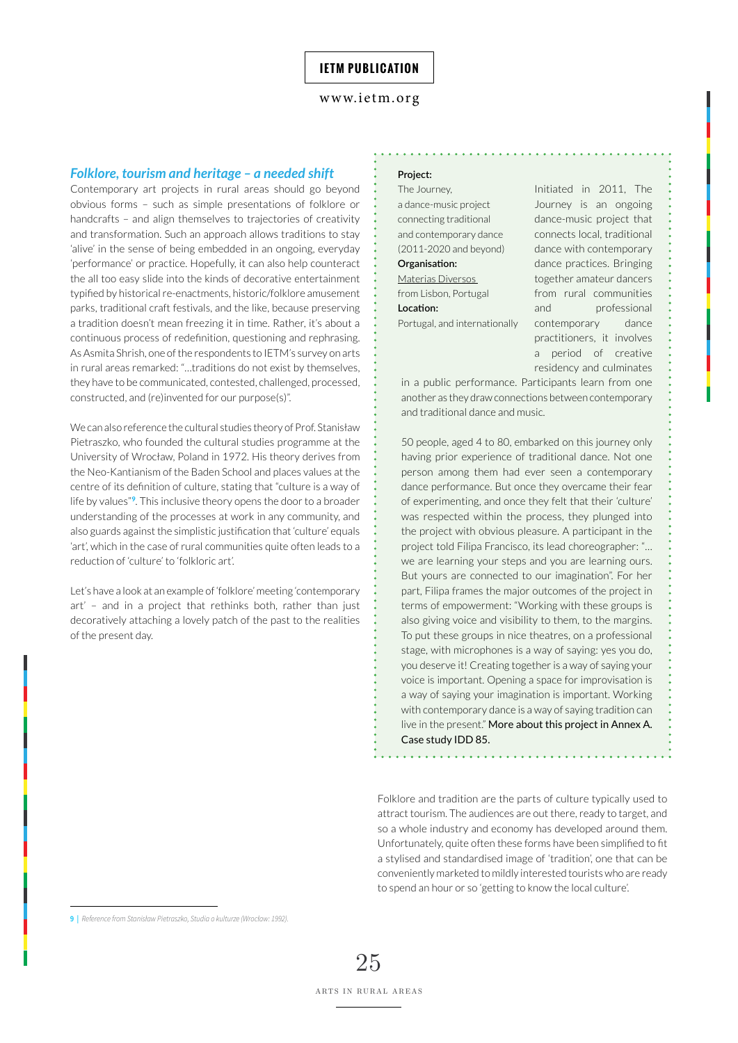#### *Folklore, tourism and heritage – a needed shift*

Contemporary art projects in rural areas should go beyond obvious forms – such as simple presentations of folklore or handcrafts – and align themselves to trajectories of creativity and transformation. Such an approach allows traditions to stay 'alive' in the sense of being embedded in an ongoing, everyday 'performance' or practice. Hopefully, it can also help counteract the all too easy slide into the kinds of decorative entertainment typified by historical re-enactments, historic/folklore amusement parks, traditional craft festivals, and the like, because preserving a tradition doesn't mean freezing it in time. Rather, it's about a continuous process of redefinition, questioning and rephrasing. As Asmita Shrish, one of the respondents to IETM's survey on arts in rural areas remarked: "…traditions do not exist by themselves, they have to be communicated, contested, challenged, processed, constructed, and (re)invented for our purpose(s)".

We can also reference the cultural studies theory of Prof. Stanisław Pietraszko, who founded the cultural studies programme at the University of Wrocław, Poland in 1972. His theory derives from the Neo-Kantianism of the Baden School and places values at the centre of its definition of culture, stating that "culture is a way of life by values"**<sup>9</sup>**. This inclusive theory opens the door to a broader understanding of the processes at work in any community, and also guards against the simplistic justification that 'culture' equals 'art', which in the case of rural communities quite often leads to a reduction of 'culture' to 'folkloric art'.

Let's have a look at an example of 'folklore' meeting 'contemporary art' – and in a project that rethinks both, rather than just decoratively attaching a lovely patch of the past to the realities of the present day.

## **Project:**

The Journey, a dance-music project connecting traditional and contemporary dance (2011-2020 and beyond) **Organisation:**  [Materias Diversos](https://www.materiaisdiversos.com/ 
)  from Lisbon, Portugal **Location:**  Portugal, and internationally Initiated in 2011, The Journey is an ongoing dance-music project that connects local, traditional dance with contemporary dance practices. Bringing together amateur dancers from rural communities and professional contemporary dance practitioners, it involves a period of creative residency and culminates

in a public performance. Participants learn from one another as they draw connections between contemporary and traditional dance and music.

50 people, aged 4 to 80, embarked on this journey only having prior experience of traditional dance. Not one person among them had ever seen a contemporary dance performance. But once they overcame their fear of experimenting, and once they felt that their 'culture' was respected within the process, they plunged into the project with obvious pleasure. A participant in the project told Filipa Francisco, its lead choreographer: "… we are learning your steps and you are learning ours. But yours are connected to our imagination". For her part, Filipa frames the major outcomes of the project in terms of empowerment: "Working with these groups is also giving voice and visibility to them, to the margins. To put these groups in nice theatres, on a professional stage, with microphones is a way of saying: yes you do, you deserve it! Creating together is a way of saying your voice is important. Opening a space for improvisation is a way of saying your imagination is important. Working with contemporary dance is a way of saying tradition can live in the present." More about this project in Annex A. Case study IDD 85.

Folklore and tradition are the parts of culture typically used to attract tourism. The audiences are out there, ready to target, and so a whole industry and economy has developed around them. Unfortunately, quite often these forms have been simplified to fit a stylised and standardised image of 'tradition', one that can be conveniently marketed to mildly interested tourists who are ready to spend an hour or so 'getting to know the local culture'.

**<sup>9 |</sup>** *Reference from Stanisław Pietraszko, Studia o kulturze (Wrocław: 1992).*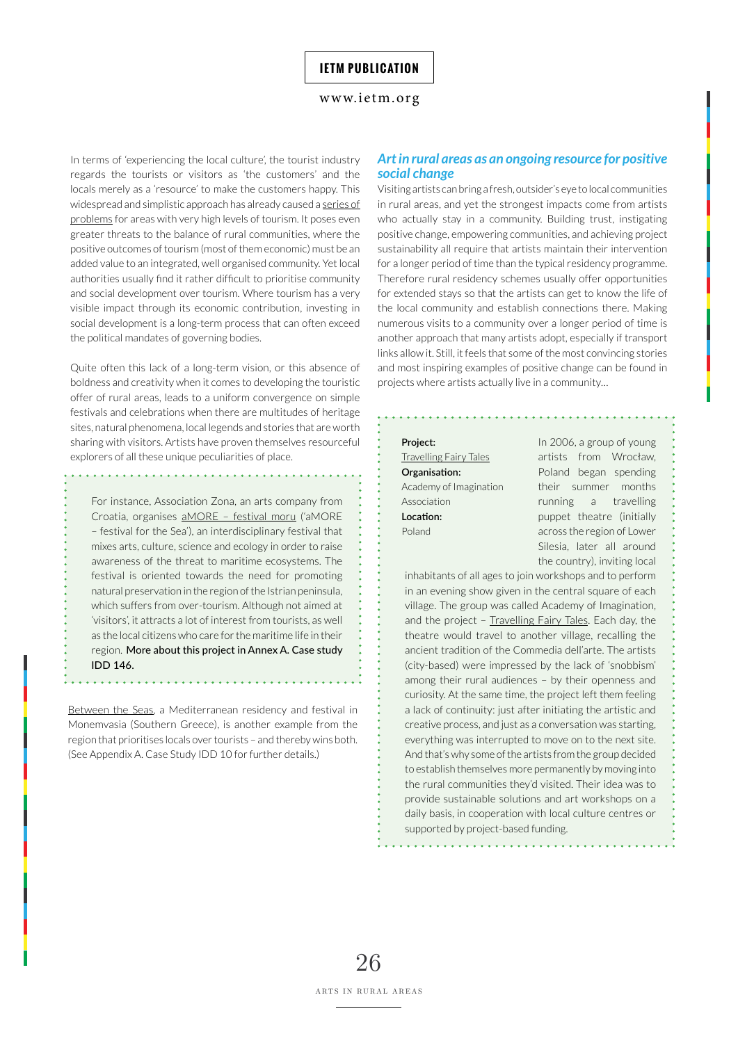#### <www.ietm.org>

In terms of 'experiencing the local culture', the tourist industry regards the tourists or visitors as 'the customers' and the locals merely as a 'resource' to make the customers happy. This widespread and simplistic approach has already caused a series of [problems](https://www.insider.com/places-europe-ruined-overtourism-last-decade-2020-1#venice-is-seen-by-many-as-the-poster-child-for-overtourism-1) for areas with very high levels of tourism. It poses even greater threats to the balance of rural communities, where the positive outcomes of tourism (most of them economic) must be an added value to an integrated, well organised community. Yet local authorities usually find it rather difficult to prioritise community and social development over tourism. Where tourism has a very visible impact through its economic contribution, investing in social development is a long-term process that can often exceed the political mandates of governing bodies.

Quite often this lack of a long-term vision, or this absence of boldness and creativity when it comes to developing the touristic offer of rural areas, leads to a uniform convergence on simple festivals and celebrations when there are multitudes of heritage sites, natural phenomena, local legends and stories that are worth sharing with visitors. Artists have proven themselves resourceful explorers of all these unique peculiarities of place.

For instance, Association Zona, an arts company from Croatia, organises [aMORE – festival moru](http://www.amorefestivalporec.net) ('aMORE – festival for the Sea'), an interdisciplinary festival that mixes arts, culture, science and ecology in order to raise awareness of the threat to maritime ecosystems. The festival is oriented towards the need for promoting natural preservation in the region of the Istrian peninsula, which suffers from over-tourism. Although not aimed at 'visitors', it attracts a lot of interest from tourists, as well as the local citizens who care for the maritime life in their region. More about this project in Annex A. Case study IDD 146.

[Between the Seas](http://www.betweentheseas.org), a Mediterranean residency and festival in Monemvasia (Southern Greece), is another example from the region that prioritises locals over tourists – and thereby wins both. (See Appendix A. Case Study IDD 10 for further details.)

## *Art in rural areas as an ongoing resource for positive social change*

Visiting artists can bring a fresh, outsider's eye to local communities in rural areas, and yet the strongest impacts come from artists who actually stay in a community. Building trust, instigating positive change, empowering communities, and achieving project sustainability all require that artists maintain their intervention for a longer period of time than the typical residency programme. Therefore rural residency schemes usually offer opportunities for extended stays so that the artists can get to know the life of the local community and establish connections there. Making numerous visits to a community over a longer period of time is another approach that many artists adopt, especially if transport links allow it. Still, it feels that some of the most convincing stories and most inspiring examples of positive change can be found in projects where artists actually live in a community…

**Project:**  [Travelling Fairy Tales](http://jarmarkbajek.blogspot.com/) **Organisation:**  Academy of Imagination Association **Location:**  Poland

In 2006, a group of young artists from Wrocław, Poland began spending their summer months running a travelling puppet theatre (initially across the region of Lower Silesia, later all around the country), inviting local

inhabitants of all ages to join workshops and to perform in an evening show given in the central square of each village. The group was called Academy of Imagination, and the project - [Travelling Fairy Tales](http://jarmarkbajek.blogspot.com/). Each day, the theatre would travel to another village, recalling the ancient tradition of the Commedia dell'arte. The artists (city-based) were impressed by the lack of 'snobbism' among their rural audiences – by their openness and curiosity. At the same time, the project left them feeling a lack of continuity: just after initiating the artistic and creative process, and just as a conversation was starting, everything was interrupted to move on to the next site. And that's why some of the artists from the group decided to establish themselves more permanently by moving into the rural communities they'd visited. Their idea was to provide sustainable solutions and art workshops on a daily basis, in cooperation with local culture centres or supported by project-based funding.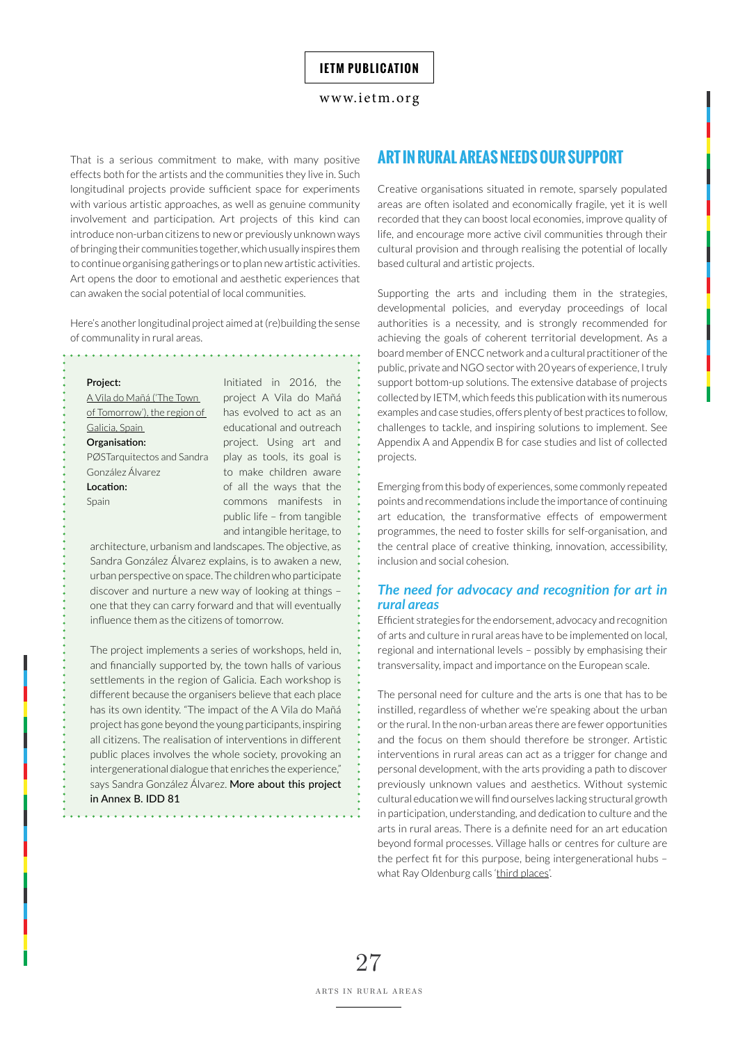That is a serious commitment to make, with many positive effects both for the artists and the communities they live in. Such longitudinal projects provide sufficient space for experiments with various artistic approaches, as well as genuine community involvement and participation. Art projects of this kind can introduce non-urban citizens to new or previously unknown ways of bringing their communities together, which usually inspires them to continue organising gatherings or to plan new artistic activities. Art opens the door to emotional and aesthetic experiences that can awaken the social potential of local communities.

Here's another longitudinal project aimed at (re)building the sense of communality in rural areas.

#### **Project:**

[A Vila do Mañá \('The Town](https://www.facebook.com/laciudaddelmanana/)  [of Tomorrow'\), the region of](https://www.facebook.com/laciudaddelmanana/)  [Galicia, Spain](https://www.facebook.com/laciudaddelmanana/)  **Organisation:**  PØSTarquitectos and Sandra González Álvarez **Location:**  Spain

Initiated in 2016, the project A Vila do Mañá has evolved to act as an educational and outreach project. Using art and play as tools, its goal is to make children aware of all the ways that the commons manifests in public life – from tangible and intangible heritage, to

architecture, urbanism and landscapes. The objective, as Sandra González Álvarez explains, is to awaken a new, urban perspective on space. The children who participate discover and nurture a new way of looking at things – one that they can carry forward and that will eventually influence them as the citizens of tomorrow.

The project implements a series of workshops, held in, and financially supported by, the town halls of various settlements in the region of Galicia. Each workshop is different because the organisers believe that each place has its own identity. "The impact of the A Vila do Mañá project has gone beyond the young participants, inspiring all citizens. The realisation of interventions in different public places involves the whole society, provoking an intergenerational dialogue that enriches the experience," says Sandra González Álvarez. More about this project in Annex B. IDD 81

. . . . . . . . . . . . . . .

# **ART IN RURAL AREAS NEEDS OUR SUPPORT**

Creative organisations situated in remote, sparsely populated areas are often isolated and economically fragile, yet it is well recorded that they can boost local economies, improve quality of life, and encourage more active civil communities through their cultural provision and through realising the potential of locally based cultural and artistic projects.

Supporting the arts and including them in the strategies, developmental policies, and everyday proceedings of local authorities is a necessity, and is strongly recommended for achieving the goals of coherent territorial development. As a board member of ENCC network and a cultural practitioner of the public, private and NGO sector with 20 years of experience, I truly support bottom-up solutions. The extensive database of projects collected by IETM, which feeds this publication with its numerous examples and case studies, offers plenty of best practices to follow, challenges to tackle, and inspiring solutions to implement. See Appendix A and Appendix B for case studies and list of collected projects.

Emerging from this body of experiences, some commonly repeated points and recommendations include the importance of continuing art education, the transformative effects of empowerment programmes, the need to foster skills for self-organisation, and the central place of creative thinking, innovation, accessibility, inclusion and social cohesion.

### *The need for advocacy and recognition for art in rural areas*

Efficient strategies for the endorsement, advocacy and recognition of arts and culture in rural areas have to be implemented on local, regional and international levels – possibly by emphasising their transversality, impact and importance on the European scale.

The personal need for culture and the arts is one that has to be instilled, regardless of whether we're speaking about the urban or the rural. In the non-urban areas there are fewer opportunities and the focus on them should therefore be stronger. Artistic interventions in rural areas can act as a trigger for change and personal development, with the arts providing a path to discover previously unknown values and aesthetics. Without systemic cultural education we will find ourselves lacking structural growth in participation, understanding, and dedication to culture and the arts in rural areas. There is a definite need for an art education beyond formal processes. Village halls or centres for culture are the perfect fit for this purpose, being intergenerational hubs – what Ray Oldenburg calls '[third places](https://www.brookings.edu/blog/up-front/2016/09/14/third-places-as-community-builders/)'.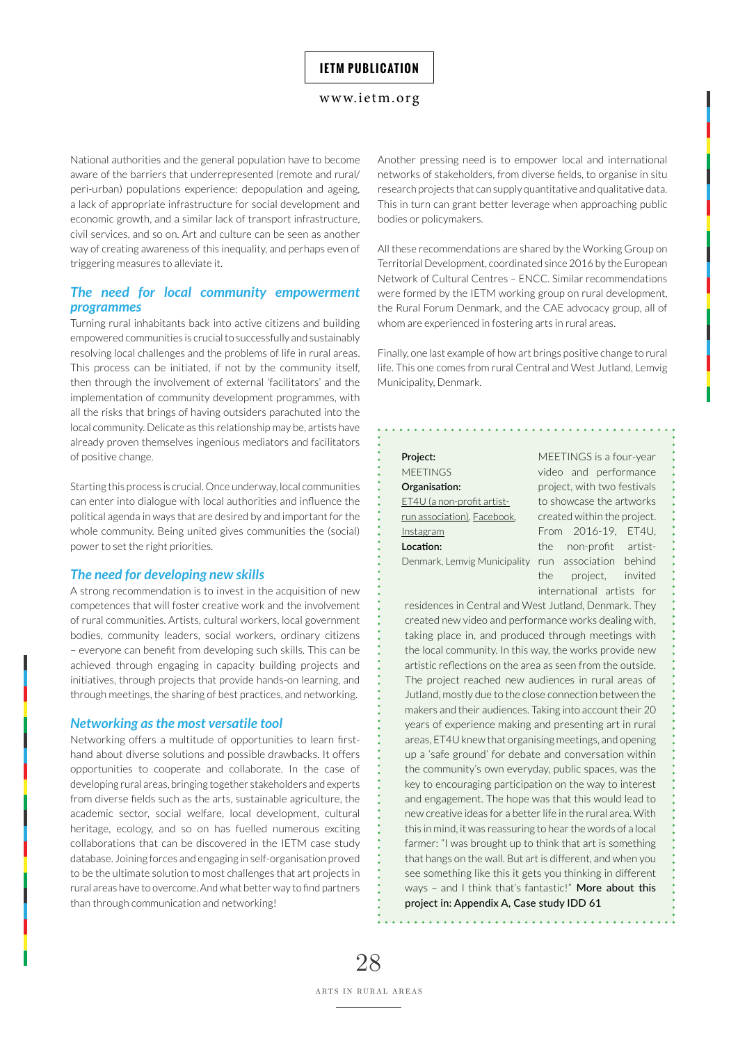#### <www.ietm.org>

National authorities and the general population have to become aware of the barriers that underrepresented (remote and rural/ peri-urban) populations experience: depopulation and ageing, a lack of appropriate infrastructure for social development and economic growth, and a similar lack of transport infrastructure, civil services, and so on. Art and culture can be seen as another way of creating awareness of this inequality, and perhaps even of triggering measures to alleviate it.

## *The need for local community empowerment programmes*

Turning rural inhabitants back into active citizens and building empowered communities is crucial to successfully and sustainably resolving local challenges and the problems of life in rural areas. This process can be initiated, if not by the community itself, then through the involvement of external 'facilitators' and the implementation of community development programmes, with all the risks that brings of having outsiders parachuted into the local community. Delicate as this relationship may be, artists have already proven themselves ingenious mediators and facilitators of positive change.

Starting this process is crucial. Once underway, local communities can enter into dialogue with local authorities and influence the political agenda in ways that are desired by and important for the whole community. Being united gives communities the (social) power to set the right priorities.

#### *The need for developing new skills*

A strong recommendation is to invest in the acquisition of new competences that will foster creative work and the involvement of rural communities. Artists, cultural workers, local government bodies, community leaders, social workers, ordinary citizens – everyone can benefit from developing such skills. This can be achieved through engaging in capacity building projects and initiatives, through projects that provide hands-on learning, and through meetings, the sharing of best practices, and networking.

#### *Networking as the most versatile tool*

Networking offers a multitude of opportunities to learn firsthand about diverse solutions and possible drawbacks. It offers opportunities to cooperate and collaborate. In the case of developing rural areas, bringing together stakeholders and experts from diverse fields such as the arts, sustainable agriculture, the academic sector, social welfare, local development, cultural heritage, ecology, and so on has fuelled numerous exciting collaborations that can be discovered in the IETM case study database. Joining forces and engaging in self-organisation proved to be the ultimate solution to most challenges that art projects in rural areas have to overcome. And what better way to find partners than through communication and networking!

Another pressing need is to empower local and international networks of stakeholders, from diverse fields, to organise in situ research projects that can supply quantitative and qualitative data. This in turn can grant better leverage when approaching public bodies or policymakers.

All these recommendations are shared by the Working Group on Territorial Development, coordinated since 2016 by the European Network of Cultural Centres – ENCC. Similar recommendations were formed by the IETM working group on rural development, the Rural Forum Denmark, and the CAE advocacy group, all of whom are experienced in fostering arts in rural areas.

Finally, one last example of how art brings positive change to rural life. This one comes from rural Central and West Jutland, Lemvig Municipality, Denmark.

## **Project:**  MEETINGS **Organisation:**  [ET4U \(a non-profit artist](http://et4u.dk)[run association\)](http://et4u.dk), [Facebook](https://www.facebook.com/ET4U.on.wheels/), [Instagram](https://www.instagram.com/et4u/) **Location:**

MEETINGS is a four-year video and performance project, with two festivals to showcase the artworks created within the project. From 2016-19, ET4U, the non-profit artist-Denmark, Lemvig Municipality run association behind the project, invited international artists for

residences in Central and West Jutland, Denmark. They created new video and performance works dealing with, taking place in, and produced through meetings with the local community. In this way, the works provide new artistic reflections on the area as seen from the outside. The project reached new audiences in rural areas of Jutland, mostly due to the close connection between the makers and their audiences. Taking into account their 20 years of experience making and presenting art in rural areas, ET4U knew that organising meetings, and opening up a 'safe ground' for debate and conversation within the community's own everyday, public spaces, was the key to encouraging participation on the way to interest and engagement. The hope was that this would lead to new creative ideas for a better life in the rural area. With this in mind, it was reassuring to hear the words of a local farmer: "I was brought up to think that art is something that hangs on the wall. But art is different, and when you see something like this it gets you thinking in different ways – and I think that's fantastic!" More about this project in: Appendix A, Case study IDD 61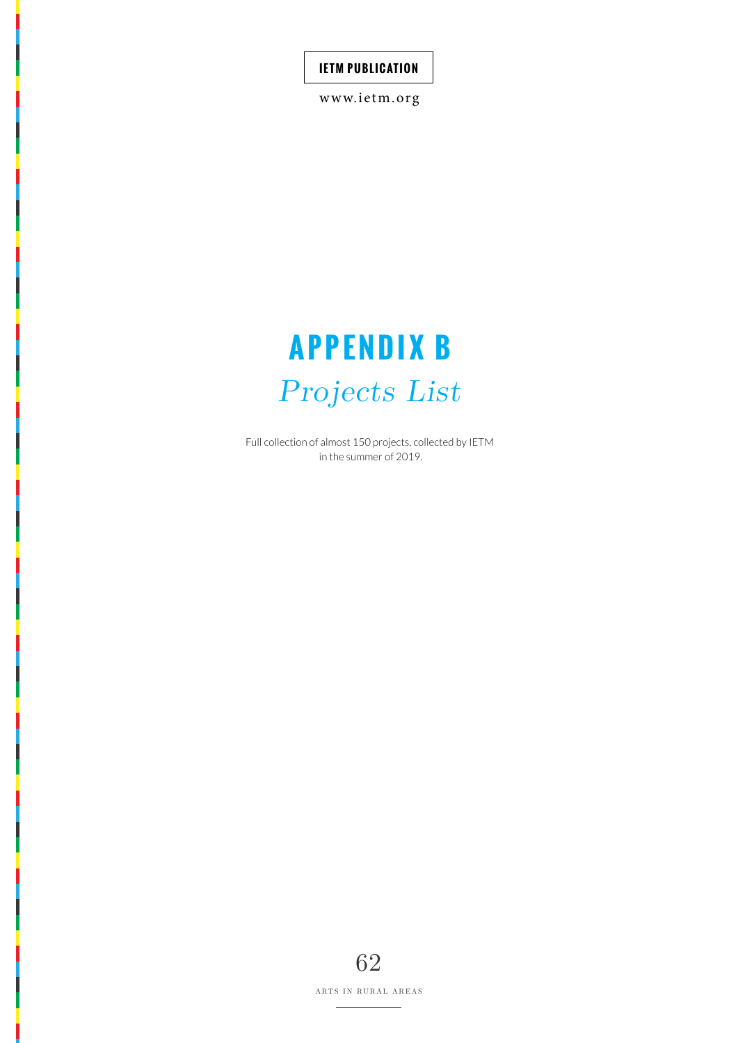<www.ietm.org>

# **APPENDIX B** *Projects List*

Full collection of almost 150 projects, collected by IETM in the summer of 2019.

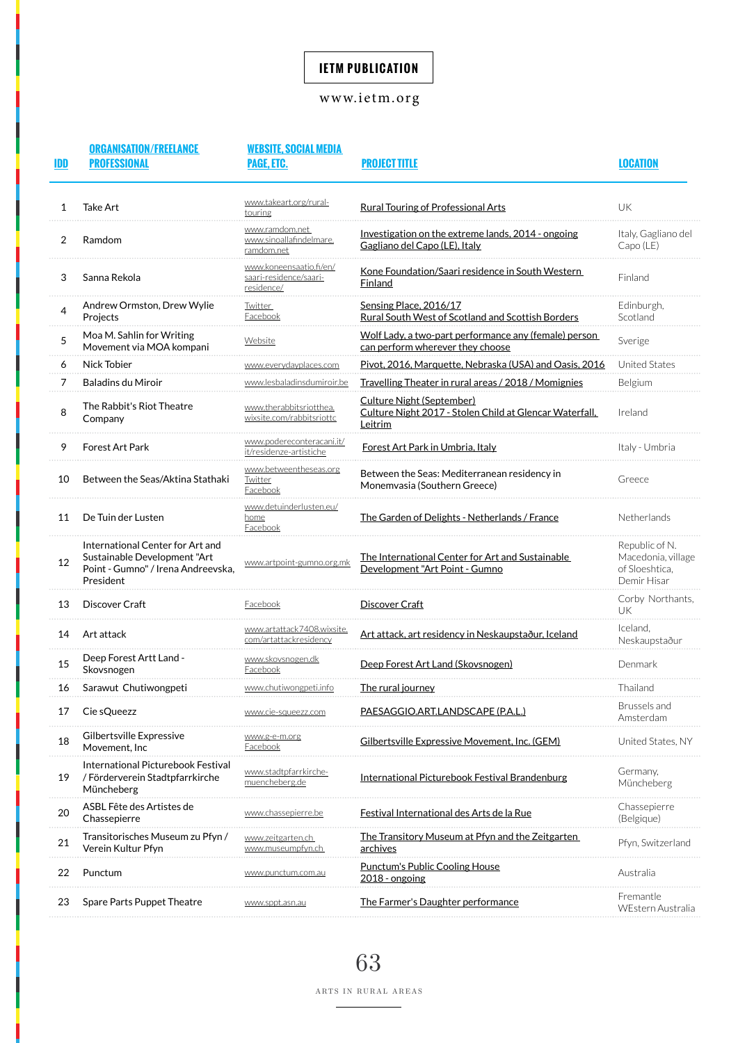# <www.ietm.org>

| IDD | <b>ORGANISATION/FREELANCE</b><br><b>PROFESSIONAL</b>                                                                | <b>WEBSITE, SOCIAL MEDIA</b><br>PAGE, ETC.                      | <b>PROJECT TITLE</b>                                                                            | LOCATION                                                              |
|-----|---------------------------------------------------------------------------------------------------------------------|-----------------------------------------------------------------|-------------------------------------------------------------------------------------------------|-----------------------------------------------------------------------|
| 1   | <b>Take Art</b>                                                                                                     | www.takeart.org/rural-<br>touring                               | <b>Rural Touring of Professional Arts</b>                                                       | UK                                                                    |
| 2   | Ramdom                                                                                                              | www.ramdom.net<br>www.sinoallafindelmare.<br>ramdom.net         | Investigation on the extreme lands, 2014 - ongoing<br>Gagliano del Capo (LE), Italy             | Italy, Gagliano del<br>Capo (LE)                                      |
| 3   | Sanna Rekola                                                                                                        | www.koneensaatio.fi/en/<br>saari-residence/saari-<br>residence/ | Kone Foundation/Saari residence in South Western<br>Finland                                     | Finland                                                               |
| 4   | Andrew Ormston, Drew Wylie<br>Projects                                                                              | Twitter<br>Facebook                                             | Sensing Place, 2016/17<br>Rural South West of Scotland and Scottish Borders                     | Edinburgh,<br>Scotland                                                |
| 5   | Moa M. Sahlin for Writing<br>Movement via MOA kompani                                                               | Website                                                         | Wolf Lady, a two-part performance any (female) person<br>can perform wherever they choose       | Sverige                                                               |
| 6   | Nick Tobier                                                                                                         | www.everydayplaces.com                                          | Pivot, 2016, Marquette, Nebraska (USA) and Oasis, 2016                                          | <b>United States</b>                                                  |
| 7   | <b>Baladins du Miroir</b>                                                                                           | www.lesbaladinsdumiroir.be                                      | Travelling Theater in rural areas / 2018 / Momignies                                            | Belgium                                                               |
| 8   | The Rabbit's Riot Theatre<br>Company                                                                                | www.therabbitsriotthea.<br>wixsite.com/rabbitsriottc            | Culture Night (September)<br>Culture Night 2017 - Stolen Child at Glencar Waterfall,<br>Leitrim | Ireland                                                               |
| 9   | <b>Forest Art Park</b>                                                                                              | www.podereconteracani.it/<br>it/residenze-artistiche            | Forest Art Park in Umbria, Italy                                                                | Italy - Umbria                                                        |
| 10  | Between the Seas/Aktina Stathaki                                                                                    | www.betweentheseas.org<br>Twitter<br>Facebook                   | Between the Seas: Mediterranean residency in<br>Monemyasia (Southern Greece)                    | Greece                                                                |
| 11  | De Tuin der Lusten                                                                                                  | www.detuinderlusten.eu/<br>home<br>Facebook                     | The Garden of Delights - Netherlands / France                                                   | Netherlands                                                           |
| 12  | International Center for Art and<br>Sustainable Development "Art<br>Point - Gumno" / Irena Andreevska,<br>President | www.artpoint-gumno.org.mk                                       | The International Center for Art and Sustainable<br>Development "Art Point - Gumno              | Republic of N.<br>Macedonia, village<br>of Sloeshtica,<br>Demir Hisar |
| 13  | Discover Craft                                                                                                      | Facebook                                                        | Discover Craft                                                                                  | Corby Northants,<br>UK                                                |
| 14  | Art attack                                                                                                          | www.artattack7408.wixsite.<br>com/artattackresidency            | Art attack, art residency in Neskaupstaður, Iceland                                             | Iceland,<br>Neskaupstaður                                             |
| 15  | Deep Forest Artt Land -<br>Skovsnogen                                                                               | www.skovsnogen.dk<br>Facebook                                   | Deep Forest Art Land (Skovsnogen)                                                               | Denmark                                                               |
| 16  | Sarawut Chutiwongpeti                                                                                               | www.chutiwongpeti.info                                          | The rural journey                                                                               | Thailand                                                              |
| 17  | Cie sQueezz                                                                                                         | www.cie-saueezz.com                                             | PAESAGGIO.ART.LANDSCAPE (P.A.L.)                                                                | Brussels and<br>Amsterdam                                             |
| 18  | Gilbertsville Expressive<br>Movement, Inc                                                                           | www.g-e-m.or:<br>Facebook                                       | Gilbertsville Expressive Movement, Inc. (GEM)                                                   | United States, NY                                                     |
| 19  | International Picturebook Festival<br>/ Förderverein Stadtpfarrkirche<br>Müncheberg                                 | www.stadtpfarrkirche-<br>muencheberg.de                         | International Picturebook Festival Brandenburg                                                  | Germany,<br>Müncheberg                                                |
| 20  | ASBL Fête des Artistes de<br>Chassepierre                                                                           | www.chassepierre.be                                             | Festival International des Arts de la Rue                                                       | Chassepierre<br>(Belgique)                                            |
| 21  | Transitorisches Museum zu Pfyn /<br>Verein Kultur Pfyn                                                              | www.zeitgarten.ch<br>www.museumpfvn.ch                          | The Transitory Museum at Pfyn and the Zeitgarten<br>archives                                    | Pfyn, Switzerland                                                     |
| 22  | Punctum                                                                                                             | vww.punctum.com.au                                              | <b>Punctum's Public Cooling House</b><br>2018 - ongoing                                         | Australia                                                             |
| 23  | Spare Parts Puppet Theatre                                                                                          | www.sppt.asn.au                                                 | The Farmer's Daughter performance                                                               | Fremantle<br>WEstern Australia                                        |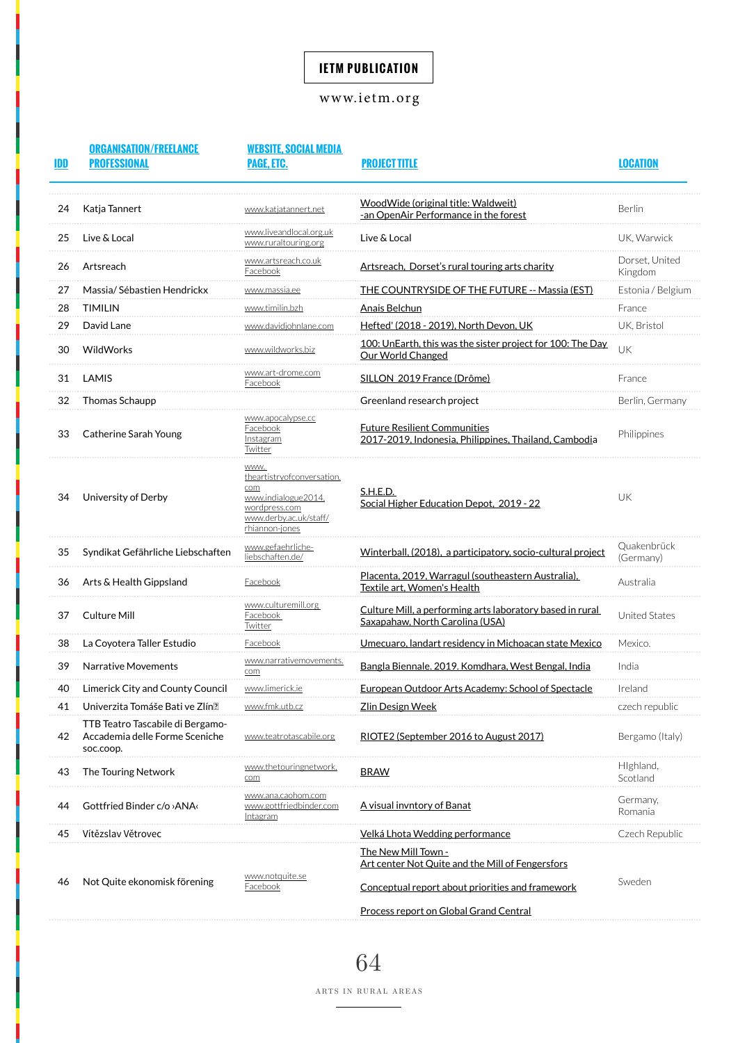## <www.ietm.org>

| IDD | <b>ORGANISATION/FREELANCE</b><br><b>PROFESSIONAL</b>                            | <b>WEBSITE, SOCIAL MEDIA</b><br>PAGE, ETC.                                                                                    | <b>PROJECT TITLE</b>                                                                         | <b>LOCATION</b>           |
|-----|---------------------------------------------------------------------------------|-------------------------------------------------------------------------------------------------------------------------------|----------------------------------------------------------------------------------------------|---------------------------|
| 24  | Katja Tannert                                                                   | www.katjatannert.net                                                                                                          | WoodWide (original title: Waldweit)<br>-an OpenAir Performance in the forest                 | Berlin                    |
| 25  | Live & Local                                                                    | www.liveandlocal.org.uk<br>www.ruraltouring.org                                                                               | Live & Local                                                                                 | UK, Warwick               |
| 26  | Artsreach                                                                       | www.artsreach.co.uk<br><b>Facebook</b>                                                                                        | Artsreach, Dorset's rural touring arts charity                                               | Dorset, United<br>Kingdom |
| 27  | Massia/Sébastien Hendrickx                                                      | www.massia.ee                                                                                                                 | <b>THE COUNTRYSIDE OF THE FUTURE -- Massia (EST)</b>                                         | Estonia / Belgium         |
| 28  | <b>TIMILIN</b>                                                                  | www.timilin.bzh                                                                                                               | <b>Anais Belchun</b>                                                                         | France                    |
| 29  | David Lane                                                                      | <u>www.davidjohnlane.com</u>                                                                                                  | Hefted' (2018 - 2019), North Devon, UK                                                       | UK, Bristol               |
| 30  | WildWorks                                                                       | www.wildworks.biz                                                                                                             | 100: UnEarth, this was the sister project for 100: The Day<br>Our World Changed              | UK                        |
| 31  | LAMIS                                                                           | www.art-drome.com<br><b>Facebook</b>                                                                                          | SILLON 2019 France (Drôme)                                                                   | France                    |
| 32  | Thomas Schaupp                                                                  |                                                                                                                               | Greenland research project                                                                   | Berlin, Germany           |
| 33  | Catherine Sarah Young                                                           | www.apocalypse.cc<br>Facebook<br>Instagram<br>Twitter                                                                         | <b>Future Resilient Communities</b><br>2017-2019, Indonesia, Philippines, Thailand, Cambodia | Philippines               |
| 34  | University of Derby                                                             | WWW.<br>theartistryofconversation.<br>com<br>www.indialogue2014.<br>wordpress.com<br>www.derby.ac.uk/staff/<br>rhiannon-jones | S.H.E.D.<br>Social Higher Education Depot, 2019 - 22                                         | UK                        |
| 35  | Syndikat Gefährliche Liebschaften                                               | <u>www.gefaehrliche-</u><br>liebschaften.de/                                                                                  | Winterball, (2018), a participatory, socio-cultural project                                  | Quakenbrück<br>(Germany)  |
| 36  | Arts & Health Gippsland                                                         | <b>Facebook</b>                                                                                                               | Placenta, 2019, Warragul (southeastern Australia),<br>Textile art. Women's Health            | Australia                 |
| 37  | Culture Mill                                                                    | www.culturemill.org<br><b>Facebook</b><br>Twitter                                                                             | Culture Mill, a performing arts laboratory based in rural<br>Saxapahaw. North Carolina (USA) | <b>United States</b>      |
| 38  | La Coyotera Taller Estudio                                                      | <b>Facebook</b>                                                                                                               | <u>Umecuaro, landart residency in Michoacan state Mexico</u>                                 | Mexico.                   |
| 39  | <b>Narrative Movements</b>                                                      | www.narrativemovements.<br>com                                                                                                | Bangla Biennale. 2019. Komdhara, West Bengal, India                                          | India                     |
| 40  | Limerick City and County Council                                                | www.limerick.ie                                                                                                               | <b>European Outdoor Arts Academy: School of Spectacle</b>                                    | Ireland                   |
| 41  | Univerzita Tomáše Bati ve Zlín?                                                 | www.fmk.utb.cz                                                                                                                | <u> Zlin Design Week</u>                                                                     | czech republic            |
| 42  | TTB Teatro Tascabile di Bergamo-<br>Accademia delle Forme Sceniche<br>soc.coop. | www.teatrotascabile.org                                                                                                       | RIOTE2 (September 2016 to August 2017)                                                       | Bergamo (Italy)           |
| 43  | The Touring Network                                                             | www.thetouringnetwork<br>com                                                                                                  | <b>BRAW</b>                                                                                  | Highland,<br>Scotland     |
| 44  | Gottfried Binder c/o > ANA                                                      | www.ana.caohom.com<br>www.gottfriedbinder.com<br>Intagram                                                                     | <u>A visual invntory of Banat</u>                                                            | Germany,<br>Romania       |
| 45  | Vítězslav Větrovec                                                              |                                                                                                                               | Velká Lhota Wedding performance                                                              | Czech Republic            |
|     |                                                                                 |                                                                                                                               | The New Mill Town -<br>Art center Not Quite and the Mill of Fengersfors                      |                           |
| 46  | Not Quite ekonomisk förening                                                    | www.notquite.se<br><b>Facebook</b>                                                                                            | Conceptual report about priorities and framework                                             | Sweden                    |
|     |                                                                                 |                                                                                                                               | Process report on Global Grand Central                                                       |                           |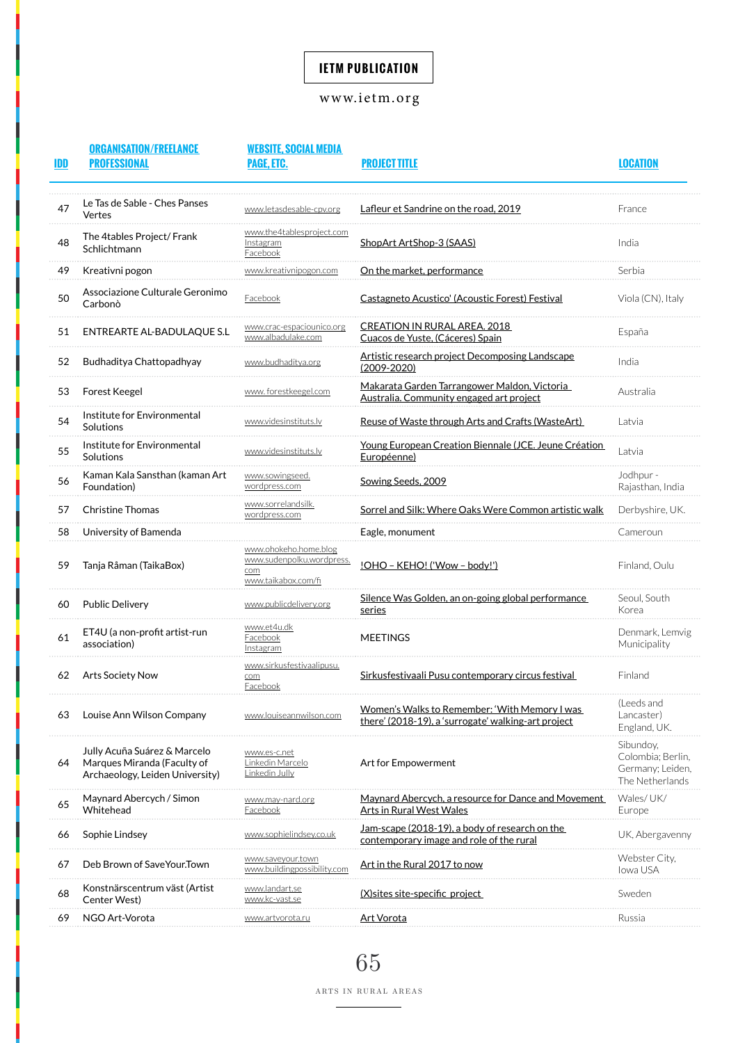## <www.ietm.org>

| IDD | <b>ORGANISATION/FREELANCE</b><br><b>PROFESSIONAL</b>                                           | <b>WEBSITE, SOCIAL MEDIA</b><br>PAGE, ETC.                                       | <b>PROJECT TITLE</b>                                                                                 | LOCATION                                                              |
|-----|------------------------------------------------------------------------------------------------|----------------------------------------------------------------------------------|------------------------------------------------------------------------------------------------------|-----------------------------------------------------------------------|
| 47  | Le Tas de Sable - Ches Panses<br>Vertes                                                        | www.letasdesable-cpv.org                                                         | Lafleur et Sandrine on the road, 2019                                                                | France                                                                |
| 48  | The 4tables Project/ Frank<br>Schlichtmann                                                     | www.the4tablesproject.com<br>Instagram<br>Facebook                               | ShopArt ArtShop-3 (SAAS)                                                                             | India                                                                 |
| 49  | Kreativni pogon                                                                                | www.kreativnipogon.com                                                           | On the market, performance                                                                           | Serbia                                                                |
| 50  | Associazione Culturale Geronimo<br>Carbonò                                                     | Facebook                                                                         | Castagneto Acustico' (Acoustic Forest) Festival                                                      | Viola (CN), Italy                                                     |
| 51  | ENTREARTE AL-BADULAQUE S.L                                                                     | www.albadulake.com                                                               | CREATION IN RURAL AREA. 2018<br>Cuacos de Yuste, (Cáceres) Spain                                     | España                                                                |
| 52  | Budhaditya Chattopadhyay                                                                       | www.budhaditya.org                                                               | Artistic research project Decomposing Landscape<br>$(2009 - 2020)$                                   | India                                                                 |
| 53  | <b>Forest Keegel</b>                                                                           | www.forestkeegel.com                                                             | Makarata Garden Tarrangower Maldon, Victoria<br>Australia. Community engaged art project             | Australia                                                             |
| 54  | Institute for Environmental<br>Solutions                                                       | www.videsinstituts.lv                                                            | Reuse of Waste through Arts and Crafts (WasteArt)                                                    | Latvia                                                                |
| 55  | Institute for Environmental<br>Solutions                                                       | www.videsinstituts.lv                                                            | Young European Creation Biennale (JCE. Jeune Création<br>Européenne)                                 | Latvia                                                                |
| 56  | Kaman Kala Sansthan (kaman Art<br>Foundation)                                                  | www.sowingseed<br>wordpress.com                                                  | Sowing Seeds, 2009                                                                                   | Jodhpur -<br>Rajasthan, India                                         |
| 57  | <b>Christine Thomas</b>                                                                        | www.sorrelandsilk<br>wordpress.com                                               | Sorrel and Silk: Where Oaks Were Common artistic walk                                                | Derbyshire, UK.                                                       |
| 58  | University of Bamenda                                                                          |                                                                                  | Eagle, monument                                                                                      | Cameroun                                                              |
| 59  | Tanja Råman (TaikaBox)                                                                         | www.ohokeho.home.blog<br>www.sudenpolku.wordpress.<br>com<br>www.taikabox.com/fi | <u>!OHO - KEHO! ('Wow - body!')</u>                                                                  | Finland, Oulu                                                         |
| 60  | <b>Public Delivery</b>                                                                         | www.publicdelivery.org                                                           | Silence Was Golden, an on-going global performance<br>series                                         | Seoul, South<br>Korea                                                 |
| 61  | ET4U (a non-profit artist-run<br>association)                                                  | www.et4u.dk<br>Facebook<br>Instagram                                             | <b>MEETINGS</b>                                                                                      | Denmark, Lemvig<br>Municipality                                       |
| 62  | Arts Society Now                                                                               | www.sirkusfestivaalipusu.<br>com<br>Facebook                                     | Sirkusfestivaali Pusu contemporary circus festival                                                   | Finland                                                               |
| 63  | Louise Ann Wilson Company                                                                      | www.louiseannwilson.com                                                          | Women's Walks to Remember: 'With Memory I was<br>there' (2018-19), a 'surrogate' walking-art project | (Leeds and<br>Lancaster)<br>England, UK.                              |
| 64  | Jully Acuña Suárez & Marcelo<br>Marques Miranda (Faculty of<br>Archaeology, Leiden University) | www.es-c.net<br>Linkedin Marcelo<br>Linkedin Jully                               | Art for Empowerment                                                                                  | Sibundoy,<br>Colombia; Berlin,<br>Germany; Leiden,<br>The Netherlands |
| 65  | Maynard Abercych / Simon<br>Whitehead                                                          | <u>www.may-nard.org</u><br>Facebook                                              | Maynard Abercych, a resource for Dance and Movement<br>Arts in Rural West Wales                      | Wales/UK/<br>Europe                                                   |
| 66  | Sophie Lindsey                                                                                 | www.sophielindsey.co.uk                                                          | Jam-scape (2018-19), a body of research on the<br>contemporary image and role of the rural           | UK, Abergavenny                                                       |
| 67  | Deb Brown of SaveYour.Town                                                                     | www.saveyour.towr<br>www.buildingpossibility.com                                 | Art in the Rural 2017 to now                                                                         | Webster City,<br>lowa USA                                             |
| 68  | Konstnärscentrum väst (Artist<br>Center West)                                                  | www.landart.se<br>www.kc-vast.se                                                 | (X) sites site-specific project                                                                      | Sweden                                                                |
| 69  | NGO Art-Vorota                                                                                 | www.artvorota.ru                                                                 | <u>Art Vorota</u>                                                                                    | Russia                                                                |

65 ARTS IN RURAL AREAS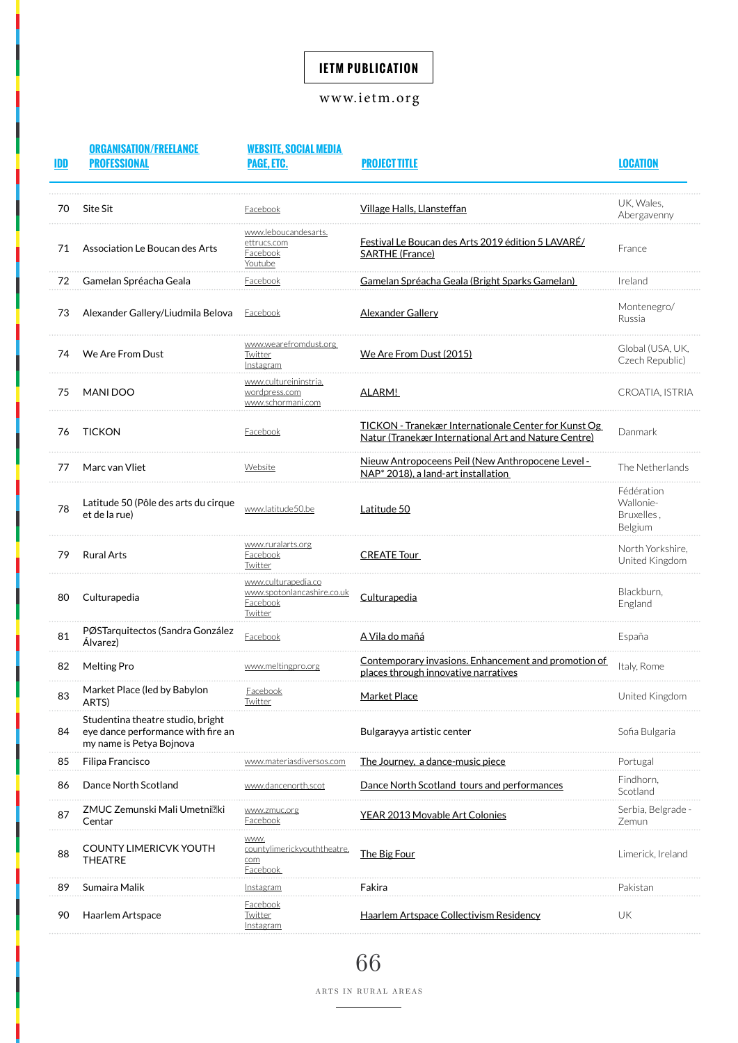## <www.ietm.org>

| IDD | <b>ORGANISATION/FREELANCE</b><br><b>PROFESSIONAL</b>                                                | <b>WEBSITE, SOCIAL MEDIA</b><br>PAGE, ETC.                               | <b>PROJECT TITLE</b>                                                                                         | <b>LOCATION</b>                                  |
|-----|-----------------------------------------------------------------------------------------------------|--------------------------------------------------------------------------|--------------------------------------------------------------------------------------------------------------|--------------------------------------------------|
| 70  | Site Sit                                                                                            | <u>-acebook</u>                                                          | <u>Village Halls, Llansteffan</u>                                                                            | UK, Wales,<br>Abergavenny                        |
| 71  | Association Le Boucan des Arts                                                                      | www.leboucandesarts.<br>ettrucs.com<br><b>Facebook</b><br><u>Youtube</u> | Festival Le Boucan des Arts 2019 édition 5 LAVARÉ/<br><b>SARTHE (France)</b>                                 | France                                           |
| 72  | Gamelan Spréacha Geala                                                                              | <u>Facebook</u>                                                          | Gamelan Spréacha Geala (Bright Sparks Gamelan)                                                               | Ireland                                          |
| 73  | Alexander Gallery/Liudmila Belova                                                                   | <b>Facebook</b>                                                          | <b>Alexander Gallery</b>                                                                                     | Montenegro/<br>Russia                            |
| 74  | We Are From Dust                                                                                    | www.wearefromdust.org<br><b>Twitter</b><br><b>Instagram</b>              | <u>We Are From Dust (2015)</u>                                                                               | Global (USA, UK,<br>Czech Republic)              |
| 75  | MANI DOO                                                                                            | <u>www.cultureininstria.</u><br>wordpress.com<br>www.schormani.com       | ALARM!                                                                                                       | CROATIA, ISTRIA                                  |
| 76  | <b>TICKON</b>                                                                                       | <b>Facebook</b>                                                          | TICKON - Tranekær Internationale Center for Kunst Og<br>Natur (Tranekær International Art and Nature Centre) | Danmark                                          |
| 77  | Marc van Vliet                                                                                      | Website                                                                  | Nieuw Antropoceens Peil (New Anthropocene Level -<br>NAP <sup>*</sup> 2018), a land-art installation         | The Netherlands                                  |
| 78  | Latitude 50 (Pôle des arts du cirque<br>et de la rue)                                               | www.latitude50.be                                                        | Latitude 50                                                                                                  | Fédération<br>Wallonie-<br>Bruxelles,<br>Belgium |
| 79  | <b>Rural Arts</b>                                                                                   | www.ruralarts.org<br><b>Facebook</b><br>Twitter                          | <b>CREATE Tour</b>                                                                                           | North Yorkshire,<br>United Kingdom               |
| 80  | Culturapedia                                                                                        | www.culturapedia.co<br>www.spotonlancashire.co.uk<br>Facebook<br>Twitter | Culturapedia                                                                                                 | Blackburn,<br>England                            |
| 81  | PØSTarquitectos (Sandra González<br>Álvarez)                                                        | <b>Facebook</b>                                                          | <u>A Vila do mañá</u>                                                                                        | España                                           |
| 82  | <b>Melting Pro</b>                                                                                  | www.meltingpro.org                                                       | Contemporary invasions. Enhancement and promotion of<br>places through innovative narratives                 | Italy, Rome                                      |
| 83  | Market Place (led by Babylon<br>ARTS)                                                               | <u>Facebook</u><br><u>Twitter</u>                                        | Market Place                                                                                                 | United Kingdom                                   |
| 84  | Studentina theatre studio, bright<br>eye dance performance with fire an<br>my name is Petya Bojnova |                                                                          | Bulgarayya artistic center                                                                                   | Sofia Bulgaria                                   |
| 85  | Filipa Francisco                                                                                    | www.materiasdiversos                                                     | The Journey, a dance-music piece                                                                             | Portugal                                         |
| 86  | Dance North Scotland                                                                                | <u>www.dancenorth.scot</u>                                               | Dance North Scotland tours and performances                                                                  | Findhorn,<br>Scotland                            |
| 87  | ZMUC Zemunski Mali Umetni $\mathbb R$ ki<br>Centar                                                  | www.zmuc.org<br>Facebook                                                 | <u>YEAR 2013 Movable Art Colonies</u>                                                                        | Serbia, Belgrade<br>Zemun                        |
| 88  | <b>COUNTY LIMERICVK YOUTH</b><br><b>THEATRE</b>                                                     | <b>WWW</b><br>countylimerickyouththeatre.<br>com<br>Facebook             | The Big Four                                                                                                 | Limerick, Ireland                                |
| 89  | Sumaira Malik                                                                                       | <u>Instagram</u>                                                         | Fakira                                                                                                       | Pakistar                                         |
| 90  | Haarlem Artspace                                                                                    | Facebook<br>Twitter<br>Instagram                                         | Haarlem Artspace Collectivism Residency                                                                      | UK                                               |

66 ARTS IN RURAL AREAS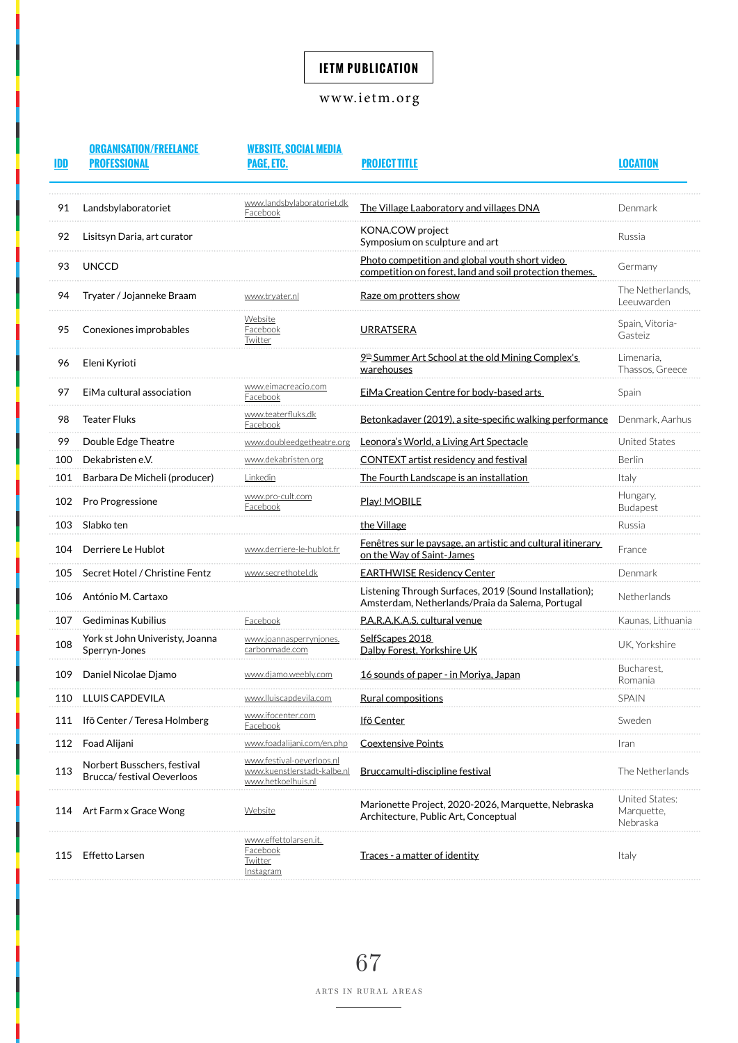## <www.ietm.org>

| IDI |                             | PAGE. ETC.                             |                                                                                                           |                                |
|-----|-----------------------------|----------------------------------------|-----------------------------------------------------------------------------------------------------------|--------------------------------|
| 91  | Landsbylaboratoriet         | www.landsbylaboratoriet.dk<br>-acebook | The Village Laaboratory and villages DNA                                                                  | Denmark                        |
| 92  | Lisitsyn Daria, art curator |                                        | KONA.COW project<br>Symposium on sculpture and art                                                        | Russia                         |
|     | UNCCD                       |                                        | Photo competition and global youth short video<br>competition on forest, land and soil protection themes. | Germany                        |
| 94  | Tryater / Jojanneke Braam   | www.trvater.nl                         | Raze om protters show                                                                                     | The Netherlands,<br>Leeuwarden |
|     | Conexiones improbables      | Website<br>-acebor                     | URRATSERA                                                                                                 | .                              |

| 95  | Conexiones improbables                                          | Website<br>Facebook<br>Twitter                                                 | <b>URRATSERA</b>                                                                                           | Spain, Vitoria-<br>Gasteiz               |
|-----|-----------------------------------------------------------------|--------------------------------------------------------------------------------|------------------------------------------------------------------------------------------------------------|------------------------------------------|
| 96  | Eleni Kyrioti                                                   |                                                                                | <u>9th Summer Art School at the old Mining Complex's </u><br>warehouses                                    | Limenaria.<br>Thassos, Greece            |
| 97  | EiMa cultural association                                       | www.eimacreacio.com<br>Facebook                                                | EiMa Creation Centre for body-based arts                                                                   | Spain                                    |
| 98  | <b>Teater Fluks</b>                                             | www.teaterfluks.dk<br>Facebook                                                 | Betonkadaver (2019), a site-specific walking performance                                                   | Denmark, Aarhus                          |
| 99  | Double Edge Theatre                                             | www.doubleedgetheatre.org                                                      | Leonora's World, a Living Art Spectacle                                                                    | <b>United States</b>                     |
| 100 | Dekabristen e.V.                                                | www.dekabristen.org                                                            | <b>CONTEXT</b> artist residency and festival                                                               | <b>Berlin</b>                            |
| 101 | Barbara De Micheli (producer)                                   | Linkedin                                                                       | The Fourth Landscape is an installation                                                                    | Italv                                    |
| 102 | Pro Progressione                                                | www.pro-cult.com<br>Facebook                                                   | Play! MOBILE                                                                                               | Hungary,<br><b>Budapest</b>              |
| 103 | Slabko ten                                                      |                                                                                | the Village                                                                                                | Russia                                   |
| 104 | Derriere Le Hublot                                              | www.derriere-le-hublot.fr                                                      | Fenêtres sur le paysage, an artistic and cultural itinerary<br>on the Way of Saint-James                   | France                                   |
| 105 | Secret Hotel / Christine Fentz                                  | www.secrethotel.dk                                                             | <b>EARTHWISE Residency Center</b>                                                                          | Denmark                                  |
| 106 | António M. Cartaxo                                              |                                                                                | Listening Through Surfaces, 2019 (Sound Installation);<br>Amsterdam, Netherlands/Praia da Salema, Portugal | Netherlands                              |
| 107 | Gediminas Kubilius                                              | Facebook                                                                       | P.A.R.A.K.A.S. cultural venue                                                                              | Kaunas, Lithuania                        |
| 108 | York st John Univeristy, Joanna<br>Sperryn-Jones                | www.joannasperrynjones.<br>carbonmade.com                                      | <u>SelfScapes 2018</u><br>Dalby Forest, Yorkshire UK                                                       | UK, Yorkshire                            |
| 109 | Daniel Nicolae Djamo                                            | www.djamo.weebly.com                                                           | 16 sounds of paper - in Moriya, Japan                                                                      | Bucharest.<br>Romania                    |
| 110 | <b>LLUIS CAPDEVILA</b>                                          | www.lluiscapdevila.com                                                         | Rural compositions                                                                                         | <b>SPAIN</b>                             |
| 111 | Ifö Center / Teresa Holmberg                                    | www.ifocenter.com<br>Facebook                                                  | Ifö Center                                                                                                 | Sweden                                   |
| 112 | Foad Alijani                                                    | www.foadalijani.com/en.php                                                     | <b>Coextensive Points</b>                                                                                  | Iran                                     |
| 113 | Norbert Busschers, festival<br><b>Brucca/festival Oeverloos</b> | www.festival-oeverloos.nl<br>www.kuenstlerstadt-kalbe.nl<br>www.hetkoelhuis.nl | Bruccamulti-discipline festival                                                                            | The Netherlands                          |
|     | 114 Art Farm x Grace Wong                                       | Website                                                                        | Marionette Project, 2020-2026, Marquette, Nebraska<br>Architecture, Public Art, Conceptual                 | United States:<br>Marquette,<br>Nebraska |
| 115 | <b>Effetto Larsen</b>                                           | www.effettolarsen.it.<br>Facebook<br>Twitter<br>Instagram                      | Traces - a matter of identity                                                                              | Italy                                    |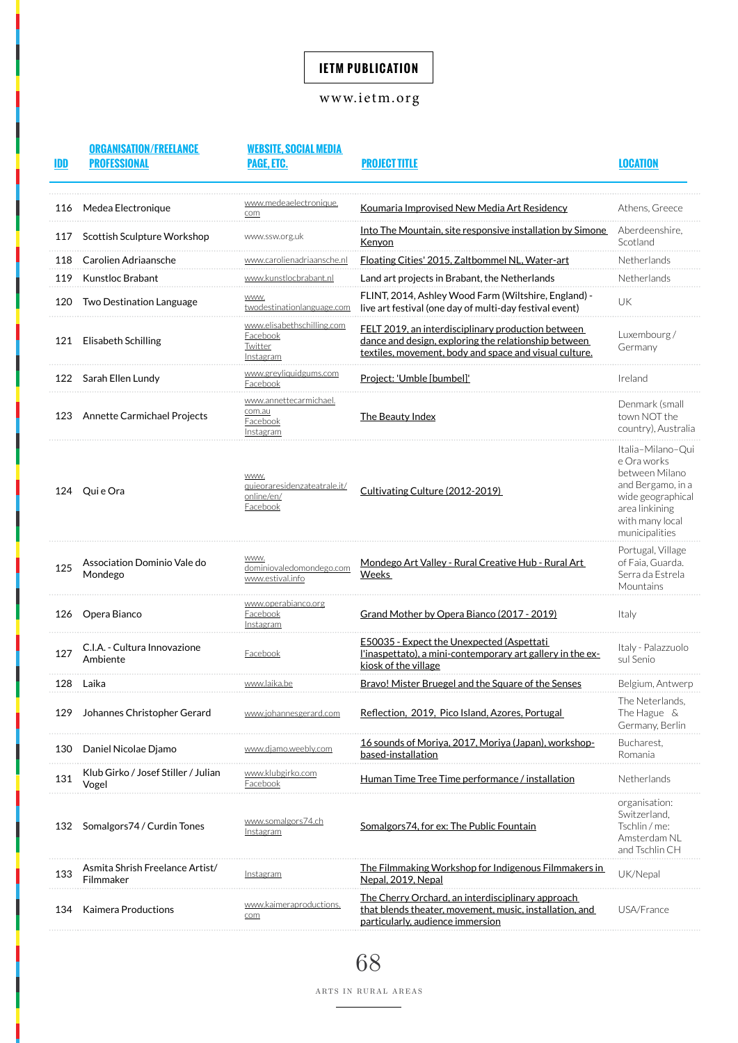## <www.ietm.org>

| IDD | <b>ORGANISATION/FREELANCE</b><br><b>PROFESSIONAL</b> | <b>WEBSITE, SOCIAL MEDIA</b><br><b>PAGE. ETC.</b> | <b>PROJECT TITLE</b> |
|-----|------------------------------------------------------|---------------------------------------------------|----------------------|
|     |                                                      |                                                   |                      |

**LOCATION** 

| 116 | Medea Electronique                           | www.medeaelectronique.<br>com                                         | <u>Koumaria Improvised New Media Art Residency</u>                                                                                                                   | Athens, Greece                                                                                                                                      |
|-----|----------------------------------------------|-----------------------------------------------------------------------|----------------------------------------------------------------------------------------------------------------------------------------------------------------------|-----------------------------------------------------------------------------------------------------------------------------------------------------|
| 117 | Scottish Sculpture Workshop                  | www.ssw.org.uk                                                        | <u>Into The Mountain, site responsive installation by Simone</u><br><b>Kenvon</b>                                                                                    | Aberdeenshire,<br>Scotland                                                                                                                          |
| 118 | Carolien Adriaansche                         | www.carolienadriaansche.nl                                            | Floating Cities' 2015. Zaltbommel NL. Water-art                                                                                                                      | Netherlands                                                                                                                                         |
| 119 | Kunstloc Brabant                             | www.kunstlocbrabant.nl                                                | Land art projects in Brabant, the Netherlands                                                                                                                        | Netherlands                                                                                                                                         |
| 120 | Two Destination Language                     | WWW.<br>twodestinationlanguage.com                                    | FLINT, 2014, Ashley Wood Farm (Wiltshire, England) -<br>live art festival (one day of multi-day festival event)                                                      | UK                                                                                                                                                  |
|     | 121 Elisabeth Schilling                      | www.elisabethschilling.com<br>Facebook<br><b>Twitter</b><br>Instagram | FELT 2019, an interdisciplinary production between<br>dance and design, exploring the relationship between<br>textiles, movement, body and space and visual culture. | Luxembourg/<br>Germany                                                                                                                              |
|     | 122 Sarah Ellen Lundy                        | www.greyliquidgums.com<br>Facebook                                    | Project: 'Umble [bumbel]'                                                                                                                                            | Ireland                                                                                                                                             |
| 123 | Annette Carmichael Projects                  | www.annettecarmichael.<br>com.au<br><b>Facebook</b><br>Instagram      | The Beauty Index                                                                                                                                                     | Denmark (small<br>town NOT the<br>country), Australia                                                                                               |
| 124 | Qui e Ora                                    | WWW.<br>quieoraresidenzateatrale.it/<br>online/en/<br>Facebook        | Cultivating Culture (2012-2019)                                                                                                                                      | Italia-Milano-Qui<br>e Ora works<br>between Milano<br>and Bergamo, in a<br>wide geographical<br>area linkining<br>with many local<br>municipalities |
| 125 | Association Dominio Vale do<br>Mondego       | WWW.<br>dominiovaledomondego.com<br>www.estival.info                  | Mondego Art Valley - Rural Creative Hub - Rural Art<br>Weeks                                                                                                         | Portugal, Village<br>of Faia, Guarda.<br>Serra da Estrela<br>Mountains                                                                              |
| 126 | Opera Bianco                                 | www.operabianco.org<br><b>Facebook</b><br>Instagram                   | Grand Mother by Opera Bianco (2017 - 2019)                                                                                                                           | Italy                                                                                                                                               |
| 127 | C.I.A. - Cultura Innovazione<br>Ambiente     | Facebook                                                              | <b>E50035 - Expect the Unexpected (Aspettati</b><br>l'inaspettato), a mini-contemporary art gallery in the ex-<br>kiosk of the village                               | Italy - Palazzuolo<br>sul Senio                                                                                                                     |
| 128 | Laika                                        | www.laika.be                                                          | Bravo! Mister Bruegel and the Square of the Senses                                                                                                                   | Belgium, Antwerp                                                                                                                                    |
| 129 | Johannes Christopher Gerard                  | www.johannesgerard.com                                                | Reflection, 2019, Pico Island, Azores, Portugal                                                                                                                      | The Neterlands,<br>The Hague &<br>Germany, Berlin                                                                                                   |
| 130 | Daniel Nicolae Djamo                         | www.djamo.weebly.com                                                  | 16 sounds of Moriva, 2017, Moriva (Japan), workshop-<br>based-installation                                                                                           | Bucharest.<br>Romania                                                                                                                               |
| 131 | Klub Girko / Josef Stiller / Julian<br>Vogel | www.klubgirko.com<br>Facebook                                         | <u> Human Time Tree Time performance / installation</u>                                                                                                              | Netherlands                                                                                                                                         |
| 132 | Somalgors74 / Curdin Tones                   | www.somalgors74.ch<br>Instagram                                       | Somalgors74, for ex: The Public Fountain                                                                                                                             | organisation:<br>Switzerland,<br>Tschlin / me:<br>Amsterdam NL<br>and Tschlin CH                                                                    |
| 133 | Asmita Shrish Freelance Artist/<br>Filmmaker | <u>Instagram</u>                                                      | <u>The Filmmaking Workshop for Indigenous Filmmakers in </u><br>Nepal, 2019, Nepal                                                                                   | UK/Nepal                                                                                                                                            |
| 134 | Kaimera Productions                          | www.kaimeraproductions.<br>com                                        | The Cherry Orchard, an interdisciplinary approach<br>that blends theater, movement, music, installation, and<br>particularly, audience immersion                     | USA/France                                                                                                                                          |

68

ARTS IN RURAL AREAS